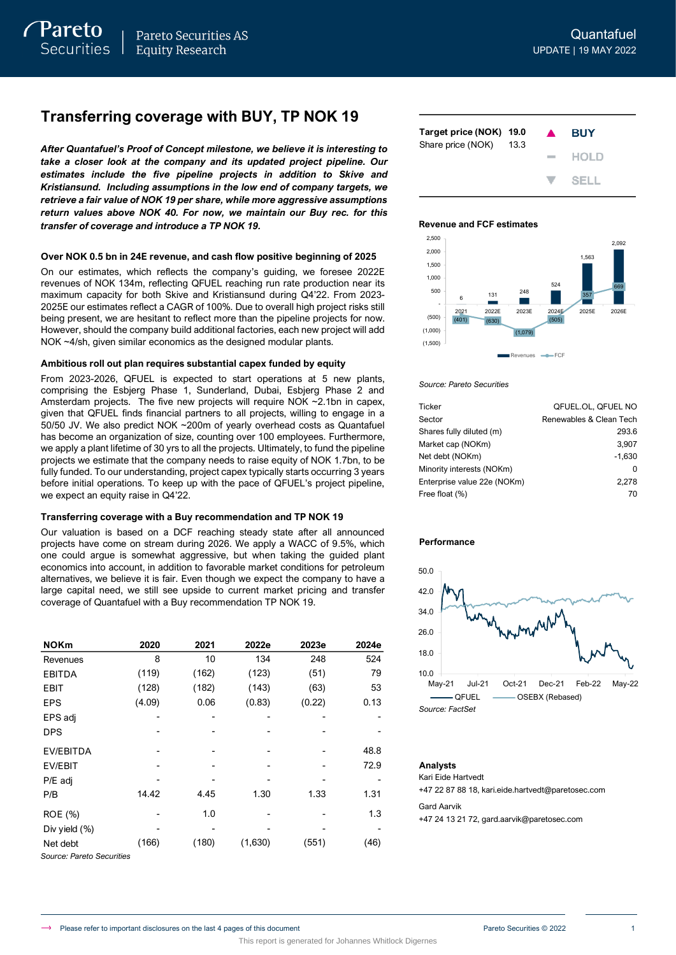# **Transferring coverage with BUY, TP NOK 19**

*After Quantafuel's Proof of Concept milestone, we believe it is interesting to take a closer look at the company and its updated project pipeline. Our estimates include the five pipeline projects in addition to Skive and Kristiansund. Including assumptions in the low end of company targets, we retrieve a fair value of NOK 19 per share, while more aggressive assumptions return values above NOK 40. For now, we maintain our Buy rec. for this transfer of coverage and introduce a TP NOK 19.* 

### **Over NOK 0.5 bn in 24E revenue, and cash flow positive beginning of 2025**

On our estimates, which reflects the company's guiding, we foresee 2022E revenues of NOK 134m, reflecting QFUEL reaching run rate production near its maximum capacity for both Skive and Kristiansund during Q4'22. From 2023- 2025E our estimates reflect a CAGR of 100%. Due to overall high project risks still being present, we are hesitant to reflect more than the pipeline projects for now. However, should the company build additional factories, each new project will add NOK ~4/sh, given similar economics as the designed modular plants.

### **Ambitious roll out plan requires substantial capex funded by equity**

From 2023-2026, QFUEL is expected to start operations at 5 new plants, comprising the Esbjerg Phase 1, Sunderland, Dubai, Esbjerg Phase 2 and Amsterdam projects. The five new projects will require NOK ~2.1bn in capex, given that QFUEL finds financial partners to all projects, willing to engage in a 50/50 JV. We also predict NOK ~200m of yearly overhead costs as Quantafuel has become an organization of size, counting over 100 employees. Furthermore, we apply a plant lifetime of 30 yrs to all the projects. Ultimately, to fund the pipeline projects we estimate that the company needs to raise equity of NOK 1.7bn, to be fully funded. To our understanding, project capex typically starts occurring 3 years before initial operations. To keep up with the pace of QFUEL's project pipeline, we expect an equity raise in Q4'22.

### **Transferring coverage with a Buy recommendation and TP NOK 19**

Our valuation is based on a DCF reaching steady state after all announced projects have come on stream during 2026. We apply a WACC of 9.5%, which one could argue is somewhat aggressive, but when taking the guided plant economics into account, in addition to favorable market conditions for petroleum alternatives, we believe it is fair. Even though we expect the company to have a large capital need, we still see upside to current market pricing and transfer coverage of Quantafuel with a Buy recommendation TP NOK 19.

| <b>NOKm</b>               | 2020   | 2021  | 2022e   | 2023e  | 2024e |
|---------------------------|--------|-------|---------|--------|-------|
| Revenues                  | 8      | 10    | 134     | 248    | 524   |
| <b>EBITDA</b>             | (119)  | (162) | (123)   | (51)   | 79    |
| <b>EBIT</b>               | (128)  | (182) | (143)   | (63)   | 53    |
| <b>EPS</b>                | (4.09) | 0.06  | (0.83)  | (0.22) | 0.13  |
| EPS adj                   |        |       |         |        |       |
| <b>DPS</b>                |        |       |         |        |       |
| <b>EV/EBITDA</b>          |        |       |         |        | 48.8  |
| <b>EV/EBIT</b>            |        |       |         |        | 72.9  |
| P/E adj                   |        |       |         |        |       |
| P/B                       | 14.42  | 4.45  | 1.30    | 1.33   | 1.31  |
| ROE (%)                   |        | 1.0   |         |        | 1.3   |
| Div yield (%)             |        |       |         |        |       |
| Net debt                  | (166)  | (180) | (1,630) | (551)  | (46)  |
| Source: Pareto Securities |        |       |         |        |       |

**Target price (NOK) 19.0 BUY** Share price (NOK) 13.3 **HOLD SELL** 

### **Revenue and FCF estimates**



### *Source: Pareto Securities*

| <b>Ticker</b>               | QFUEL.OL. QFUEL NO      |
|-----------------------------|-------------------------|
| Sector                      | Renewables & Clean Tech |
| Shares fully diluted (m)    | 293.6                   |
| Market cap (NOKm)           | 3.907                   |
| Net debt (NOKm)             | $-1,630$                |
| Minority interests (NOKm)   | O                       |
| Enterprise value 22e (NOKm) | 2.278                   |
| Free float (%)              | 70                      |

### **Performance**



#### **Analysts**

Kari Eide Hartvedt +47 22 87 88 18, kari.eide.hartvedt@paretosec.com Gard Aarvik +47 24 13 21 72, gard.aarvik@paretosec.com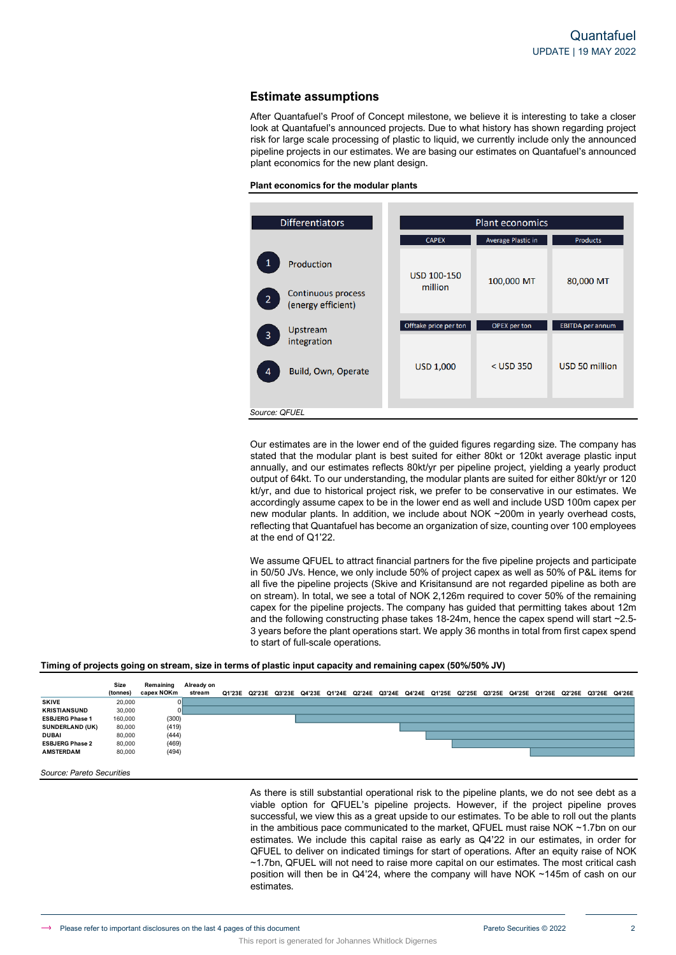# **Estimate assumptions**

After Quantafuel's Proof of Concept milestone, we believe it is interesting to take a closer look at Quantafuel's announced projects. Due to what history has shown regarding project risk for large scale processing of plastic to liquid, we currently include only the announced pipeline projects in our estimates. We are basing our estimates on Quantafuel's announced plant economics for the new plant design.





Our estimates are in the lower end of the guided figures regarding size. The company has stated that the modular plant is best suited for either 80kt or 120kt average plastic input annually, and our estimates reflects 80kt/yr per pipeline project, yielding a yearly product output of 64kt. To our understanding, the modular plants are suited for either 80kt/yr or 120 kt/yr, and due to historical project risk, we prefer to be conservative in our estimates. We accordingly assume capex to be in the lower end as well and include USD 100m capex per new modular plants. In addition, we include about NOK ~200m in yearly overhead costs, reflecting that Quantafuel has become an organization of size, counting over 100 employees at the end of Q1'22.

We assume QFUEL to attract financial partners for the five pipeline projects and participate in 50/50 JVs. Hence, we only include 50% of project capex as well as 50% of P&L items for all five the pipeline projects (Skive and Krisitansund are not regarded pipeline as both are on stream). In total, we see a total of NOK 2,126m required to cover 50% of the remaining capex for the pipeline projects. The company has guided that permitting takes about 12m and the following constructing phase takes 18-24m, hence the capex spend will start ~2.5- 3 years before the plant operations start. We apply 36 months in total from first capex spend to start of full-scale operations.

### **Timing of projects going on stream, size in terms of plastic input capacity and remaining capex (50%/50% JV)**

|                        | Size<br>(tonnes) | Remaining<br>capex NOKm | Already on<br>stream |  |  |  |  |  |  |  | Q1'23E Q2'23E Q3'23E Q4'23E Q1'24E Q2'24E Q3'24E Q4'24E Q1'25E Q2'25E Q3'25E Q4'25E Q1'26E Q2'26E Q3'26E Q4'26E |  |
|------------------------|------------------|-------------------------|----------------------|--|--|--|--|--|--|--|-----------------------------------------------------------------------------------------------------------------|--|
| <b>SKIVE</b>           | 20,000           |                         |                      |  |  |  |  |  |  |  |                                                                                                                 |  |
| <b>KRISTIANSUND</b>    | 30,000           |                         |                      |  |  |  |  |  |  |  |                                                                                                                 |  |
| <b>ESBJERG Phase 1</b> | 160,000          | (300)                   |                      |  |  |  |  |  |  |  |                                                                                                                 |  |
| <b>SUNDERLAND (UK)</b> | 80,000           | (419)                   |                      |  |  |  |  |  |  |  |                                                                                                                 |  |
| <b>DUBAI</b>           | 80,000           | (444)                   |                      |  |  |  |  |  |  |  |                                                                                                                 |  |
| <b>ESBJERG Phase 2</b> | 80,000           | (469)                   |                      |  |  |  |  |  |  |  |                                                                                                                 |  |
| <b>AMSTERDAM</b>       | 80,000           | (494)                   |                      |  |  |  |  |  |  |  |                                                                                                                 |  |
|                        |                  |                         |                      |  |  |  |  |  |  |  |                                                                                                                 |  |

This report is generated for Johannes Whitlock Digernes

*Source: Pareto Securities*

As there is still substantial operational risk to the pipeline plants, we do not see debt as a viable option for QFUEL's pipeline projects. However, if the project pipeline proves successful, we view this as a great upside to our estimates. To be able to roll out the plants in the ambitious pace communicated to the market, QFUEL must raise NOK ~1.7bn on our estimates. We include this capital raise as early as Q4'22 in our estimates, in order for QFUEL to deliver on indicated timings for start of operations. After an equity raise of NOK ~1.7bn, QFUEL will not need to raise more capital on our estimates. The most critical cash position will then be in Q4'24, where the company will have NOK ~145m of cash on our estimates.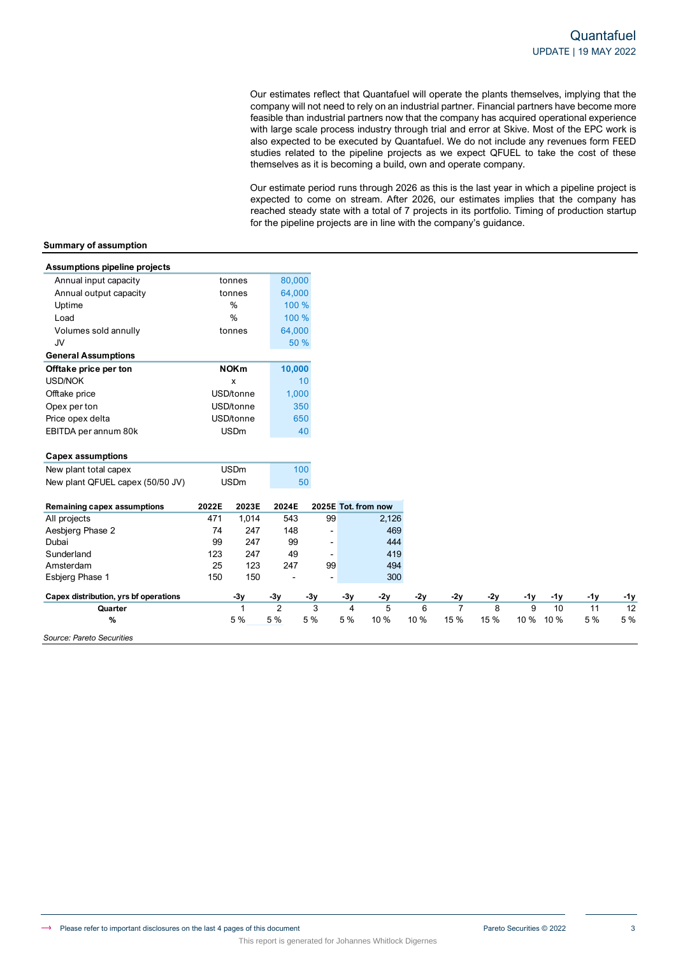Our estimates reflect that Quantafuel will operate the plants themselves, implying that the company will not need to rely on an industrial partner. Financial partners have become more feasible than industrial partners now that the company has acquired operational experience with large scale process industry through trial and error at Skive. Most of the EPC work is also expected to be executed by Quantafuel. We do not include any revenues form FEED studies related to the pipeline projects as we expect QFUEL to take the cost of these themselves as it is becoming a build, own and operate company.

Our estimate period runs through 2026 as this is the last year in which a pipeline project is expected to come on stream. After 2026, our estimates implies that the company has reached steady state with a total of 7 projects in its portfolio. Timing of production startup for the pipeline projects are in line with the company's guidance.

### **Summary of assumption**

| <b>Assumptions pipeline projects</b>  |       |             |                       |                          |          |                     |           |                        |           |           |            |           |                  |
|---------------------------------------|-------|-------------|-----------------------|--------------------------|----------|---------------------|-----------|------------------------|-----------|-----------|------------|-----------|------------------|
| Annual input capacity                 |       | tonnes      | 80,000                |                          |          |                     |           |                        |           |           |            |           |                  |
| Annual output capacity                |       | tonnes      | 64,000                |                          |          |                     |           |                        |           |           |            |           |                  |
| Uptime                                |       | %           | 100 %                 |                          |          |                     |           |                        |           |           |            |           |                  |
| Load                                  |       | %           | 100 %                 |                          |          |                     |           |                        |           |           |            |           |                  |
| Volumes sold annully                  |       | tonnes      | 64,000                |                          |          |                     |           |                        |           |           |            |           |                  |
| JV                                    |       |             | 50 %                  |                          |          |                     |           |                        |           |           |            |           |                  |
| <b>General Assumptions</b>            |       |             |                       |                          |          |                     |           |                        |           |           |            |           |                  |
| Offtake price per ton                 |       | <b>NOKm</b> | 10,000                |                          |          |                     |           |                        |           |           |            |           |                  |
| <b>USD/NOK</b>                        |       | x           |                       | 10                       |          |                     |           |                        |           |           |            |           |                  |
| Offtake price                         |       | USD/tonne   | 1,000                 |                          |          |                     |           |                        |           |           |            |           |                  |
| Opex per ton                          |       | USD/tonne   | 350                   |                          |          |                     |           |                        |           |           |            |           |                  |
| Price opex delta                      |       | USD/tonne   | 650                   |                          |          |                     |           |                        |           |           |            |           |                  |
| EBITDA per annum 80k                  |       | <b>USDm</b> |                       | 40                       |          |                     |           |                        |           |           |            |           |                  |
| <b>Capex assumptions</b>              |       |             |                       |                          |          |                     |           |                        |           |           |            |           |                  |
| New plant total capex                 |       | <b>USDm</b> | 100                   |                          |          |                     |           |                        |           |           |            |           |                  |
| New plant QFUEL capex (50/50 JV)      |       | <b>USDm</b> |                       | 50                       |          |                     |           |                        |           |           |            |           |                  |
|                                       |       |             |                       |                          |          |                     |           |                        |           |           |            |           |                  |
| <b>Remaining capex assumptions</b>    | 2022E | 2023E       | 2024E                 |                          |          | 2025E Tot. from now |           |                        |           |           |            |           |                  |
| All projects                          | 471   | 1,014       | 543                   | 99                       |          | 2,126               |           |                        |           |           |            |           |                  |
| Aesbjerg Phase 2                      | 74    | 247         | 148                   | $\overline{a}$           |          | 469                 |           |                        |           |           |            |           |                  |
| Dubai                                 | 99    | 247         | 99                    | $\overline{\phantom{a}}$ |          | 444                 |           |                        |           |           |            |           |                  |
| Sunderland                            | 123   | 247         | 49                    | $\overline{\phantom{0}}$ |          | 419                 |           |                        |           |           |            |           |                  |
| Amsterdam                             | 25    | 123         | 247                   | 99                       |          | 494                 |           |                        |           |           |            |           |                  |
|                                       |       |             |                       | $\overline{\phantom{0}}$ |          | 300                 |           |                        |           |           |            |           |                  |
| Esbjerg Phase 1                       | 150   | 150         |                       |                          |          |                     |           |                        |           |           |            |           |                  |
| Capex distribution, yrs bf operations |       | $-3y$       | $-3y$                 | $-3y$                    | $-3y$    | $-2y$               | $-2y$     | $-2y$                  | $-2y$     | $-1y$     | $-1y$      | $-1y$     |                  |
| Quarter                               |       | 1<br>5 %    | $\overline{2}$<br>5 % | 3<br>5 %                 | 4<br>5 % | 5<br>10 %           | 6<br>10 % | $\overline{7}$<br>15 % | 8<br>15 % | 9<br>10 % | 10<br>10 % | 11<br>5 % | -1y<br>12<br>5 % |

This report is generated for Johannes Whitlock Digernes

*Source: Pareto Securities*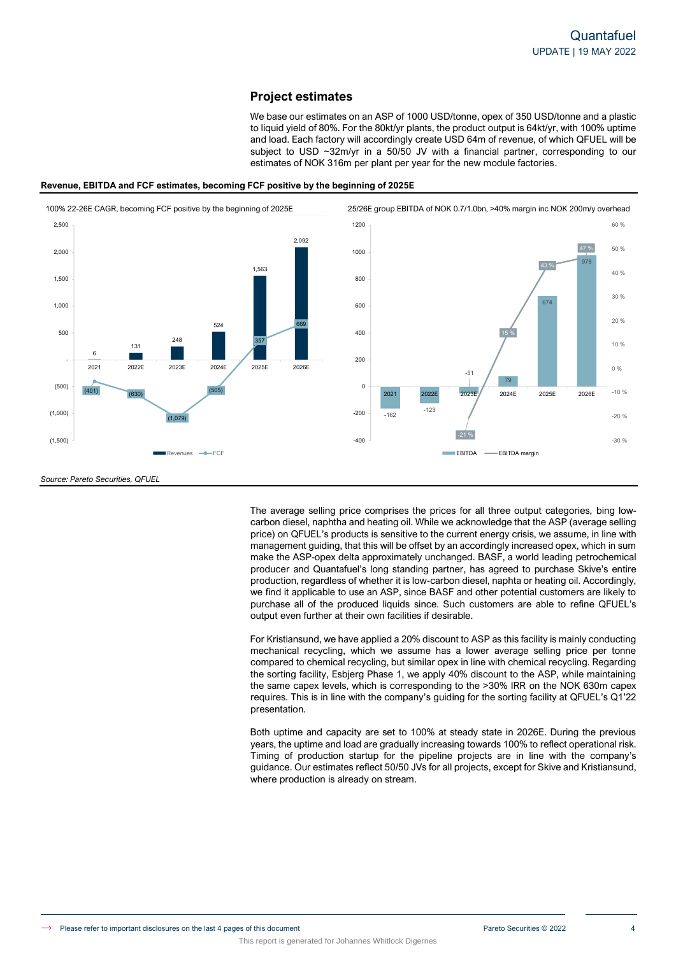# **Project estimates**

We base our estimates on an ASP of 1000 USD/tonne, opex of 350 USD/tonne and a plastic to liquid yield of 80%. For the 80kt/yr plants, the product output is 64kt/yr, with 100% uptime and load. Each factory will accordingly create USD 64m of revenue, of which QFUEL will be subject to USD ~32m/yr in a 50/50 JV with a financial partner, corresponding to our estimates of NOK 316m per plant per year for the new module factories.



### **Revenue, EBITDA and FCF estimates, becoming FCF positive by the beginning of 2025E**



*Source: Pareto Securities, QFUEL*

The average selling price comprises the prices for all three output categories, bing lowcarbon diesel, naphtha and heating oil. While we acknowledge that the ASP (average selling price) on QFUEL's products is sensitive to the current energy crisis, we assume, in line with management guiding, that this will be offset by an accordingly increased opex, which in sum make the ASP-opex delta approximately unchanged. BASF, a world leading petrochemical producer and Quantafuel's long standing partner, has agreed to purchase Skive's entire production, regardless of whether it is low-carbon diesel, naphta or heating oil. Accordingly, we find it applicable to use an ASP, since BASF and other potential customers are likely to purchase all of the produced liquids since. Such customers are able to refine QFUEL's output even further at their own facilities if desirable.

For Kristiansund, we have applied a 20% discount to ASP as this facility is mainly conducting mechanical recycling, which we assume has a lower average selling price per tonne compared to chemical recycling, but similar opex in line with chemical recycling. Regarding the sorting facility, Esbjerg Phase 1, we apply 40% discount to the ASP, while maintaining the same capex levels, which is corresponding to the >30% IRR on the NOK 630m capex requires. This is in line with the company's guiding for the sorting facility at QFUEL's Q1'22 presentation.

Both uptime and capacity are set to 100% at steady state in 2026E. During the previous years, the uptime and load are gradually increasing towards 100% to reflect operational risk. Timing of production startup for the pipeline projects are in line with the company's guidance. Our estimates reflect 50/50 JVs for all projects, except for Skive and Kristiansund, where production is already on stream.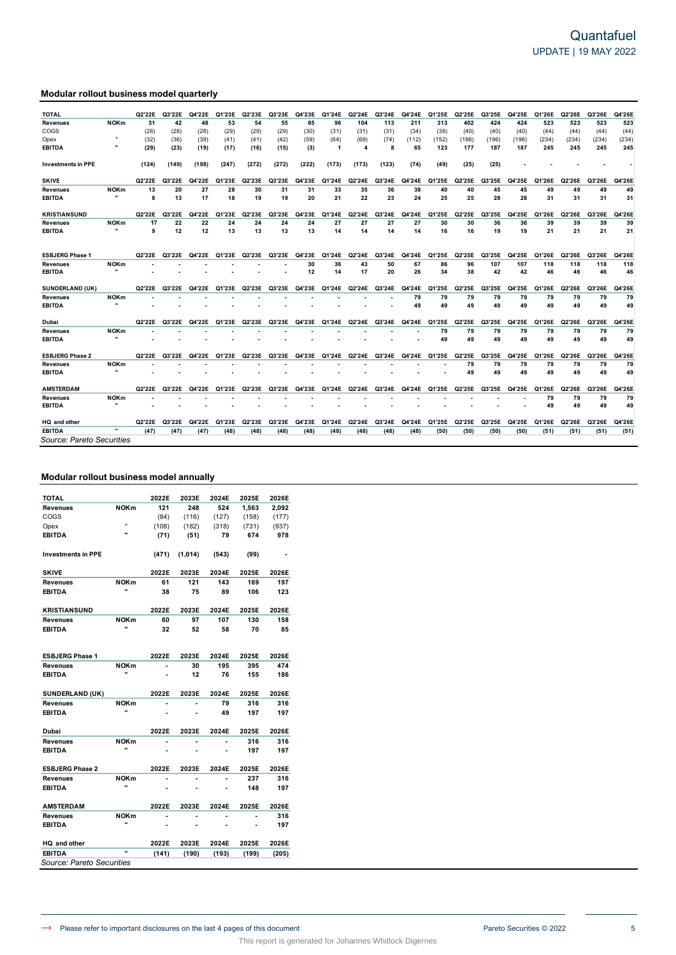# **Modular rollout business model quarterly**

| 55<br>424<br>523<br>523<br><b>NOKm</b><br>31<br>42<br>48<br>53<br>54<br>85<br>96<br>104<br>113<br>211<br>313<br>402<br>424<br>523<br>523<br><b>Revenues</b><br>(28)<br>(44)<br>COGS<br>(28)<br>(29)<br>(29)<br>(30)<br>(31)<br>(31)<br>(34)<br>(38)<br>(40)<br>(40)<br>(40)<br>(28)<br>(29)<br>(31)<br>(44)<br>(44)<br>(44)<br>(32)<br>(39)<br>(69)<br>(234)<br>(234)<br>(234)<br>(36)<br>(41)<br>(42)<br>(59)<br>(64)<br>(74)<br>(112)<br>(152)<br>(186)<br>(196)<br>(196)<br>(234)<br>Opex<br>(41)<br>245<br><b>EBITDA</b><br>(29)<br>(23)<br>(19)<br>(15)<br>(3)<br>1<br>4<br>8<br>65<br>123<br>177<br>187<br>187<br>245<br>245<br>(17)<br>(16)<br>245<br>(272)<br>(74)<br>(25)<br>(25)<br><b>Investments in PPE</b><br>(198)<br>(247)<br>(272)<br>(222)<br>(173)<br>(173)<br>(123)<br>(49)<br>(124)<br>(149)<br><b>SKIVE</b><br>Q2'22E<br>Q3'23E<br>Q2'24E<br>l'25E<br>Q4'25E<br>Q1'26E<br>Q3'26E<br>Q4'26E<br>Q3'22E<br>Q4'22E<br>Q1'23E<br>Q2'23E<br>Q4'23E<br>Q1'24E<br>Q3'24E<br>Q4'24E<br>Q2'25E<br>Q3'25E<br>Q2'26E<br>O٬<br>27<br><b>NOKm</b><br>13<br>20<br>28<br>30<br>31<br>33<br>35<br>45<br>49<br>49<br>31<br>36<br>38<br>40<br>40<br>45<br>49<br>49<br>Revenues<br>$\ddot{\phantom{0}}$<br>8<br>13<br>17<br>18<br>19<br>19<br>20<br>21<br>22<br>23<br>24<br>25<br>25<br>28<br>28<br>31<br>31<br>31<br><b>EBITDA</b><br>31<br><b>KRISTIANSUND</b><br>Q3'23E<br>Q2'24E<br>Q1'25E<br>Q4'25E<br>Q3'26E<br>Q4'26E<br>Q2'22E<br>Q3'22E<br>Q4'22E<br>Q1'23E<br>Q2'23E<br>Q4'23E<br>Q1'24E<br>Q3'24E<br>Q4'24E<br>Q2'25E<br>Q3'25E<br>Q1'26E<br>Q2'26E<br>17<br>22<br>22<br>24<br>24<br>30<br>36<br>39<br>39<br><b>NOKm</b><br>24<br>24<br>27<br>27<br>27<br>27<br>30<br>36<br>39<br>39<br><b>Revenues</b><br>$\mathbf{u}$<br>21<br><b>EBITDA</b><br>9<br>12<br>12<br>13<br>13<br>13<br>13<br>14<br>14<br>14<br>16<br>19<br>19<br>21<br>21<br>21<br>14<br>16<br><b>ESBJERG Phase 1</b><br>Q2'24E<br>Q1'25E<br>Q4'25E<br>Q3'26E<br>Q4'26E<br>Q2'22E<br>Q3'22E<br>Q1'23E<br>Q2'23E<br>Q3'23E<br>Q4'23E<br>Q1'24E<br>Q3'24E<br>Q4'24E<br>Q2'25E<br>Q3'25E<br>Q1'26E<br>Q2'26E<br>Q4'22E<br><b>NOKm</b><br>107<br>118<br>118<br>30<br>36<br>43<br>50<br>67<br>86<br>96<br>107<br>118<br>118<br>Revenues<br>17<br>14<br>26<br>34<br>38<br>42<br>42<br>46<br>46<br>46<br><b>EBITDA</b><br>12<br>20<br>46<br>SUNDERLAND (UK)<br>Q2'24E<br>Q3'24E<br>Q2'25E<br>Q4'25E<br>Q1'26E<br>Q2'26E<br>Q3'26E<br>Q4'26E<br>Q2'22E<br>Q3'22E<br>Q4'22E<br>Q1'23E<br>Q2'23E<br>Q3'23E<br>Q4'23E<br>Q1'24E<br>Q4'24E<br>Q1'25E<br>Q3'25E<br>79<br><b>NOKm</b><br>79<br>79<br>79<br>79<br>79<br>79<br>79<br>79<br><b>Revenues</b><br>49<br>49<br>49<br>49<br>49<br>49<br>49<br>49<br><b>EBITDA</b><br>49<br>Q2'22E<br>Q1'26E<br>Q3'26E<br>Q4'26E<br>Dubai<br>Q3'22E<br>'23E<br>Q2'23E<br>Q3'23E<br>Q4'23E<br>Q3'24E<br>'25E<br>Q2'25E<br>Q3'25E<br>Q4'25E<br>Q2'26E<br>Q4'22E<br>Q1'24E<br>Q2'24E<br>Q4'24E<br>O1<br>Ο1<br>79<br>79<br>79<br><b>NOKm</b><br>79<br>79<br>79<br>79<br>79<br><b>Revenues</b><br>49<br>49<br>49<br>49<br>49<br>49<br><b>EBITDA</b><br>49<br>49<br><b>ESBJERG Phase 2</b><br>Q4'25E<br>Q3'26E<br>Q4'26E<br>Q2'22E<br>Q3'22E<br>Q4'22E<br>Q3'23E<br>Q4'23E<br>Q2'24E<br>Q3'24E<br>Q1'25E<br>Q2'25E<br>Q3'25E<br>Q1'26E<br>Q2'26E<br>Q1'23E<br>Q2'23E<br>Q1'24E<br>Q4'24E<br><b>NOKm</b><br>79<br>79<br>79<br>79<br>79<br>79<br>79<br><b>Revenues</b><br>49<br>49<br>49<br>49<br>49<br>49<br>49<br><b>EBITDA</b><br><b>AMSTERDAM</b><br>Q2'22E<br>Q3'22E<br>Q2'23E<br>Q3'23E<br>Q4'23E<br>Q2'24E<br>Q3'24E<br>Q2'25E<br>Q3'25E<br>Q4'25E<br>Q1'26E<br>Q2'26E<br>Q3'26E<br>Q4'26E<br>Q4'22E<br>Q1'23E<br>Q1'24E<br>Q4'24E<br>Q1'25E<br><b>NOKm</b><br>79<br>79<br>79<br>79<br><b>Revenues</b><br><br><b>EBITDA</b><br>49<br>49<br>49<br>49<br>HQ and other<br>Q2'22E<br>Q4'22E<br>Q1'23E<br>Q2'23E<br>Q3'23E<br>Q4'23E<br>Q2'24E<br>Q3'24E<br>Q1'25E<br>Q2'25E<br>Q3'25E<br>Q4'25E<br>Q1'26E<br>Q2'26E<br>Q3'26E<br>Q4'26E<br>Q3'22E<br>Q1'24E<br>Q4'24E<br>$\ddot{\phantom{0}}$<br><b>EBITDA</b><br>(47)<br>(51)<br>(47)<br>(47<br>(48)<br>(48)<br>(48<br>(48)<br>(48)<br>(48)<br>(48)<br>(48)<br>(50)<br>(50)<br>(50)<br>(50)<br>(51<br>(51)<br>(51)<br>Source: Pareto Securities | <b>TOTAL</b> | Q2'22E | Q3'22E | Q4'22E | Q1'23E | Q2'23E | Q3'23E | Q4'23E | Q1'24E | Q2'24E | Q3'24E | Q4'24E | Q1'25E | Q2'25E | Q3'25E | Q4'25E | Q1'26E | Q2'26E | Q3'26E | Q4'26E |
|------------------------------------------------------------------------------------------------------------------------------------------------------------------------------------------------------------------------------------------------------------------------------------------------------------------------------------------------------------------------------------------------------------------------------------------------------------------------------------------------------------------------------------------------------------------------------------------------------------------------------------------------------------------------------------------------------------------------------------------------------------------------------------------------------------------------------------------------------------------------------------------------------------------------------------------------------------------------------------------------------------------------------------------------------------------------------------------------------------------------------------------------------------------------------------------------------------------------------------------------------------------------------------------------------------------------------------------------------------------------------------------------------------------------------------------------------------------------------------------------------------------------------------------------------------------------------------------------------------------------------------------------------------------------------------------------------------------------------------------------------------------------------------------------------------------------------------------------------------------------------------------------------------------------------------------------------------------------------------------------------------------------------------------------------------------------------------------------------------------------------------------------------------------------------------------------------------------------------------------------------------------------------------------------------------------------------------------------------------------------------------------------------------------------------------------------------------------------------------------------------------------------------------------------------------------------------------------------------------------------------------------------------------------------------------------------------------------------------------------------------------------------------------------------------------------------------------------------------------------------------------------------------------------------------------------------------------------------------------------------------------------------------------------------------------------------------------------------------------------------------------------------------------------------------------------------------------------------------------------------------------------------------------------------------------------------------------------------------------------------------------------------------------------------------------------------------------------------------------------------------------------------------------------------------------------------------------------------------------------------------------------------------------------------------------------------------------------------------------------------------------------------------------------------------------------------------------------------------------------------------------------------------------------------------------------------------------------------------------------------------------------------------------------------------------------------------------------------------------------------------------------------------------------------------------------------|--------------|--------|--------|--------|--------|--------|--------|--------|--------|--------|--------|--------|--------|--------|--------|--------|--------|--------|--------|--------|
|                                                                                                                                                                                                                                                                                                                                                                                                                                                                                                                                                                                                                                                                                                                                                                                                                                                                                                                                                                                                                                                                                                                                                                                                                                                                                                                                                                                                                                                                                                                                                                                                                                                                                                                                                                                                                                                                                                                                                                                                                                                                                                                                                                                                                                                                                                                                                                                                                                                                                                                                                                                                                                                                                                                                                                                                                                                                                                                                                                                                                                                                                                                                                                                                                                                                                                                                                                                                                                                                                                                                                                                                                                                                                                                                                                                                                                                                                                                                                                                                                                                                                                                                                                                                |              |        |        |        |        |        |        |        |        |        |        |        |        |        |        |        |        |        |        |        |
|                                                                                                                                                                                                                                                                                                                                                                                                                                                                                                                                                                                                                                                                                                                                                                                                                                                                                                                                                                                                                                                                                                                                                                                                                                                                                                                                                                                                                                                                                                                                                                                                                                                                                                                                                                                                                                                                                                                                                                                                                                                                                                                                                                                                                                                                                                                                                                                                                                                                                                                                                                                                                                                                                                                                                                                                                                                                                                                                                                                                                                                                                                                                                                                                                                                                                                                                                                                                                                                                                                                                                                                                                                                                                                                                                                                                                                                                                                                                                                                                                                                                                                                                                                                                |              |        |        |        |        |        |        |        |        |        |        |        |        |        |        |        |        |        |        |        |
|                                                                                                                                                                                                                                                                                                                                                                                                                                                                                                                                                                                                                                                                                                                                                                                                                                                                                                                                                                                                                                                                                                                                                                                                                                                                                                                                                                                                                                                                                                                                                                                                                                                                                                                                                                                                                                                                                                                                                                                                                                                                                                                                                                                                                                                                                                                                                                                                                                                                                                                                                                                                                                                                                                                                                                                                                                                                                                                                                                                                                                                                                                                                                                                                                                                                                                                                                                                                                                                                                                                                                                                                                                                                                                                                                                                                                                                                                                                                                                                                                                                                                                                                                                                                |              |        |        |        |        |        |        |        |        |        |        |        |        |        |        |        |        |        |        |        |
|                                                                                                                                                                                                                                                                                                                                                                                                                                                                                                                                                                                                                                                                                                                                                                                                                                                                                                                                                                                                                                                                                                                                                                                                                                                                                                                                                                                                                                                                                                                                                                                                                                                                                                                                                                                                                                                                                                                                                                                                                                                                                                                                                                                                                                                                                                                                                                                                                                                                                                                                                                                                                                                                                                                                                                                                                                                                                                                                                                                                                                                                                                                                                                                                                                                                                                                                                                                                                                                                                                                                                                                                                                                                                                                                                                                                                                                                                                                                                                                                                                                                                                                                                                                                |              |        |        |        |        |        |        |        |        |        |        |        |        |        |        |        |        |        |        |        |
|                                                                                                                                                                                                                                                                                                                                                                                                                                                                                                                                                                                                                                                                                                                                                                                                                                                                                                                                                                                                                                                                                                                                                                                                                                                                                                                                                                                                                                                                                                                                                                                                                                                                                                                                                                                                                                                                                                                                                                                                                                                                                                                                                                                                                                                                                                                                                                                                                                                                                                                                                                                                                                                                                                                                                                                                                                                                                                                                                                                                                                                                                                                                                                                                                                                                                                                                                                                                                                                                                                                                                                                                                                                                                                                                                                                                                                                                                                                                                                                                                                                                                                                                                                                                |              |        |        |        |        |        |        |        |        |        |        |        |        |        |        |        |        |        |        |        |
|                                                                                                                                                                                                                                                                                                                                                                                                                                                                                                                                                                                                                                                                                                                                                                                                                                                                                                                                                                                                                                                                                                                                                                                                                                                                                                                                                                                                                                                                                                                                                                                                                                                                                                                                                                                                                                                                                                                                                                                                                                                                                                                                                                                                                                                                                                                                                                                                                                                                                                                                                                                                                                                                                                                                                                                                                                                                                                                                                                                                                                                                                                                                                                                                                                                                                                                                                                                                                                                                                                                                                                                                                                                                                                                                                                                                                                                                                                                                                                                                                                                                                                                                                                                                |              |        |        |        |        |        |        |        |        |        |        |        |        |        |        |        |        |        |        |        |
|                                                                                                                                                                                                                                                                                                                                                                                                                                                                                                                                                                                                                                                                                                                                                                                                                                                                                                                                                                                                                                                                                                                                                                                                                                                                                                                                                                                                                                                                                                                                                                                                                                                                                                                                                                                                                                                                                                                                                                                                                                                                                                                                                                                                                                                                                                                                                                                                                                                                                                                                                                                                                                                                                                                                                                                                                                                                                                                                                                                                                                                                                                                                                                                                                                                                                                                                                                                                                                                                                                                                                                                                                                                                                                                                                                                                                                                                                                                                                                                                                                                                                                                                                                                                |              |        |        |        |        |        |        |        |        |        |        |        |        |        |        |        |        |        |        |        |
|                                                                                                                                                                                                                                                                                                                                                                                                                                                                                                                                                                                                                                                                                                                                                                                                                                                                                                                                                                                                                                                                                                                                                                                                                                                                                                                                                                                                                                                                                                                                                                                                                                                                                                                                                                                                                                                                                                                                                                                                                                                                                                                                                                                                                                                                                                                                                                                                                                                                                                                                                                                                                                                                                                                                                                                                                                                                                                                                                                                                                                                                                                                                                                                                                                                                                                                                                                                                                                                                                                                                                                                                                                                                                                                                                                                                                                                                                                                                                                                                                                                                                                                                                                                                |              |        |        |        |        |        |        |        |        |        |        |        |        |        |        |        |        |        |        |        |
|                                                                                                                                                                                                                                                                                                                                                                                                                                                                                                                                                                                                                                                                                                                                                                                                                                                                                                                                                                                                                                                                                                                                                                                                                                                                                                                                                                                                                                                                                                                                                                                                                                                                                                                                                                                                                                                                                                                                                                                                                                                                                                                                                                                                                                                                                                                                                                                                                                                                                                                                                                                                                                                                                                                                                                                                                                                                                                                                                                                                                                                                                                                                                                                                                                                                                                                                                                                                                                                                                                                                                                                                                                                                                                                                                                                                                                                                                                                                                                                                                                                                                                                                                                                                |              |        |        |        |        |        |        |        |        |        |        |        |        |        |        |        |        |        |        |        |
|                                                                                                                                                                                                                                                                                                                                                                                                                                                                                                                                                                                                                                                                                                                                                                                                                                                                                                                                                                                                                                                                                                                                                                                                                                                                                                                                                                                                                                                                                                                                                                                                                                                                                                                                                                                                                                                                                                                                                                                                                                                                                                                                                                                                                                                                                                                                                                                                                                                                                                                                                                                                                                                                                                                                                                                                                                                                                                                                                                                                                                                                                                                                                                                                                                                                                                                                                                                                                                                                                                                                                                                                                                                                                                                                                                                                                                                                                                                                                                                                                                                                                                                                                                                                |              |        |        |        |        |        |        |        |        |        |        |        |        |        |        |        |        |        |        |        |
|                                                                                                                                                                                                                                                                                                                                                                                                                                                                                                                                                                                                                                                                                                                                                                                                                                                                                                                                                                                                                                                                                                                                                                                                                                                                                                                                                                                                                                                                                                                                                                                                                                                                                                                                                                                                                                                                                                                                                                                                                                                                                                                                                                                                                                                                                                                                                                                                                                                                                                                                                                                                                                                                                                                                                                                                                                                                                                                                                                                                                                                                                                                                                                                                                                                                                                                                                                                                                                                                                                                                                                                                                                                                                                                                                                                                                                                                                                                                                                                                                                                                                                                                                                                                |              |        |        |        |        |        |        |        |        |        |        |        |        |        |        |        |        |        |        |        |
|                                                                                                                                                                                                                                                                                                                                                                                                                                                                                                                                                                                                                                                                                                                                                                                                                                                                                                                                                                                                                                                                                                                                                                                                                                                                                                                                                                                                                                                                                                                                                                                                                                                                                                                                                                                                                                                                                                                                                                                                                                                                                                                                                                                                                                                                                                                                                                                                                                                                                                                                                                                                                                                                                                                                                                                                                                                                                                                                                                                                                                                                                                                                                                                                                                                                                                                                                                                                                                                                                                                                                                                                                                                                                                                                                                                                                                                                                                                                                                                                                                                                                                                                                                                                |              |        |        |        |        |        |        |        |        |        |        |        |        |        |        |        |        |        |        |        |
|                                                                                                                                                                                                                                                                                                                                                                                                                                                                                                                                                                                                                                                                                                                                                                                                                                                                                                                                                                                                                                                                                                                                                                                                                                                                                                                                                                                                                                                                                                                                                                                                                                                                                                                                                                                                                                                                                                                                                                                                                                                                                                                                                                                                                                                                                                                                                                                                                                                                                                                                                                                                                                                                                                                                                                                                                                                                                                                                                                                                                                                                                                                                                                                                                                                                                                                                                                                                                                                                                                                                                                                                                                                                                                                                                                                                                                                                                                                                                                                                                                                                                                                                                                                                |              |        |        |        |        |        |        |        |        |        |        |        |        |        |        |        |        |        |        |        |
|                                                                                                                                                                                                                                                                                                                                                                                                                                                                                                                                                                                                                                                                                                                                                                                                                                                                                                                                                                                                                                                                                                                                                                                                                                                                                                                                                                                                                                                                                                                                                                                                                                                                                                                                                                                                                                                                                                                                                                                                                                                                                                                                                                                                                                                                                                                                                                                                                                                                                                                                                                                                                                                                                                                                                                                                                                                                                                                                                                                                                                                                                                                                                                                                                                                                                                                                                                                                                                                                                                                                                                                                                                                                                                                                                                                                                                                                                                                                                                                                                                                                                                                                                                                                |              |        |        |        |        |        |        |        |        |        |        |        |        |        |        |        |        |        |        |        |
|                                                                                                                                                                                                                                                                                                                                                                                                                                                                                                                                                                                                                                                                                                                                                                                                                                                                                                                                                                                                                                                                                                                                                                                                                                                                                                                                                                                                                                                                                                                                                                                                                                                                                                                                                                                                                                                                                                                                                                                                                                                                                                                                                                                                                                                                                                                                                                                                                                                                                                                                                                                                                                                                                                                                                                                                                                                                                                                                                                                                                                                                                                                                                                                                                                                                                                                                                                                                                                                                                                                                                                                                                                                                                                                                                                                                                                                                                                                                                                                                                                                                                                                                                                                                |              |        |        |        |        |        |        |        |        |        |        |        |        |        |        |        |        |        |        |        |
|                                                                                                                                                                                                                                                                                                                                                                                                                                                                                                                                                                                                                                                                                                                                                                                                                                                                                                                                                                                                                                                                                                                                                                                                                                                                                                                                                                                                                                                                                                                                                                                                                                                                                                                                                                                                                                                                                                                                                                                                                                                                                                                                                                                                                                                                                                                                                                                                                                                                                                                                                                                                                                                                                                                                                                                                                                                                                                                                                                                                                                                                                                                                                                                                                                                                                                                                                                                                                                                                                                                                                                                                                                                                                                                                                                                                                                                                                                                                                                                                                                                                                                                                                                                                |              |        |        |        |        |        |        |        |        |        |        |        |        |        |        |        |        |        |        |        |
|                                                                                                                                                                                                                                                                                                                                                                                                                                                                                                                                                                                                                                                                                                                                                                                                                                                                                                                                                                                                                                                                                                                                                                                                                                                                                                                                                                                                                                                                                                                                                                                                                                                                                                                                                                                                                                                                                                                                                                                                                                                                                                                                                                                                                                                                                                                                                                                                                                                                                                                                                                                                                                                                                                                                                                                                                                                                                                                                                                                                                                                                                                                                                                                                                                                                                                                                                                                                                                                                                                                                                                                                                                                                                                                                                                                                                                                                                                                                                                                                                                                                                                                                                                                                |              |        |        |        |        |        |        |        |        |        |        |        |        |        |        |        |        |        |        |        |
|                                                                                                                                                                                                                                                                                                                                                                                                                                                                                                                                                                                                                                                                                                                                                                                                                                                                                                                                                                                                                                                                                                                                                                                                                                                                                                                                                                                                                                                                                                                                                                                                                                                                                                                                                                                                                                                                                                                                                                                                                                                                                                                                                                                                                                                                                                                                                                                                                                                                                                                                                                                                                                                                                                                                                                                                                                                                                                                                                                                                                                                                                                                                                                                                                                                                                                                                                                                                                                                                                                                                                                                                                                                                                                                                                                                                                                                                                                                                                                                                                                                                                                                                                                                                |              |        |        |        |        |        |        |        |        |        |        |        |        |        |        |        |        |        |        |        |
|                                                                                                                                                                                                                                                                                                                                                                                                                                                                                                                                                                                                                                                                                                                                                                                                                                                                                                                                                                                                                                                                                                                                                                                                                                                                                                                                                                                                                                                                                                                                                                                                                                                                                                                                                                                                                                                                                                                                                                                                                                                                                                                                                                                                                                                                                                                                                                                                                                                                                                                                                                                                                                                                                                                                                                                                                                                                                                                                                                                                                                                                                                                                                                                                                                                                                                                                                                                                                                                                                                                                                                                                                                                                                                                                                                                                                                                                                                                                                                                                                                                                                                                                                                                                |              |        |        |        |        |        |        |        |        |        |        |        |        |        |        |        |        |        |        |        |
|                                                                                                                                                                                                                                                                                                                                                                                                                                                                                                                                                                                                                                                                                                                                                                                                                                                                                                                                                                                                                                                                                                                                                                                                                                                                                                                                                                                                                                                                                                                                                                                                                                                                                                                                                                                                                                                                                                                                                                                                                                                                                                                                                                                                                                                                                                                                                                                                                                                                                                                                                                                                                                                                                                                                                                                                                                                                                                                                                                                                                                                                                                                                                                                                                                                                                                                                                                                                                                                                                                                                                                                                                                                                                                                                                                                                                                                                                                                                                                                                                                                                                                                                                                                                |              |        |        |        |        |        |        |        |        |        |        |        |        |        |        |        |        |        |        |        |
|                                                                                                                                                                                                                                                                                                                                                                                                                                                                                                                                                                                                                                                                                                                                                                                                                                                                                                                                                                                                                                                                                                                                                                                                                                                                                                                                                                                                                                                                                                                                                                                                                                                                                                                                                                                                                                                                                                                                                                                                                                                                                                                                                                                                                                                                                                                                                                                                                                                                                                                                                                                                                                                                                                                                                                                                                                                                                                                                                                                                                                                                                                                                                                                                                                                                                                                                                                                                                                                                                                                                                                                                                                                                                                                                                                                                                                                                                                                                                                                                                                                                                                                                                                                                |              |        |        |        |        |        |        |        |        |        |        |        |        |        |        |        |        |        |        |        |
|                                                                                                                                                                                                                                                                                                                                                                                                                                                                                                                                                                                                                                                                                                                                                                                                                                                                                                                                                                                                                                                                                                                                                                                                                                                                                                                                                                                                                                                                                                                                                                                                                                                                                                                                                                                                                                                                                                                                                                                                                                                                                                                                                                                                                                                                                                                                                                                                                                                                                                                                                                                                                                                                                                                                                                                                                                                                                                                                                                                                                                                                                                                                                                                                                                                                                                                                                                                                                                                                                                                                                                                                                                                                                                                                                                                                                                                                                                                                                                                                                                                                                                                                                                                                |              |        |        |        |        |        |        |        |        |        |        |        |        |        |        |        |        |        |        |        |
|                                                                                                                                                                                                                                                                                                                                                                                                                                                                                                                                                                                                                                                                                                                                                                                                                                                                                                                                                                                                                                                                                                                                                                                                                                                                                                                                                                                                                                                                                                                                                                                                                                                                                                                                                                                                                                                                                                                                                                                                                                                                                                                                                                                                                                                                                                                                                                                                                                                                                                                                                                                                                                                                                                                                                                                                                                                                                                                                                                                                                                                                                                                                                                                                                                                                                                                                                                                                                                                                                                                                                                                                                                                                                                                                                                                                                                                                                                                                                                                                                                                                                                                                                                                                |              |        |        |        |        |        |        |        |        |        |        |        |        |        |        |        |        |        |        |        |
|                                                                                                                                                                                                                                                                                                                                                                                                                                                                                                                                                                                                                                                                                                                                                                                                                                                                                                                                                                                                                                                                                                                                                                                                                                                                                                                                                                                                                                                                                                                                                                                                                                                                                                                                                                                                                                                                                                                                                                                                                                                                                                                                                                                                                                                                                                                                                                                                                                                                                                                                                                                                                                                                                                                                                                                                                                                                                                                                                                                                                                                                                                                                                                                                                                                                                                                                                                                                                                                                                                                                                                                                                                                                                                                                                                                                                                                                                                                                                                                                                                                                                                                                                                                                |              |        |        |        |        |        |        |        |        |        |        |        |        |        |        |        |        |        |        |        |
|                                                                                                                                                                                                                                                                                                                                                                                                                                                                                                                                                                                                                                                                                                                                                                                                                                                                                                                                                                                                                                                                                                                                                                                                                                                                                                                                                                                                                                                                                                                                                                                                                                                                                                                                                                                                                                                                                                                                                                                                                                                                                                                                                                                                                                                                                                                                                                                                                                                                                                                                                                                                                                                                                                                                                                                                                                                                                                                                                                                                                                                                                                                                                                                                                                                                                                                                                                                                                                                                                                                                                                                                                                                                                                                                                                                                                                                                                                                                                                                                                                                                                                                                                                                                |              |        |        |        |        |        |        |        |        |        |        |        |        |        |        |        |        |        |        |        |
|                                                                                                                                                                                                                                                                                                                                                                                                                                                                                                                                                                                                                                                                                                                                                                                                                                                                                                                                                                                                                                                                                                                                                                                                                                                                                                                                                                                                                                                                                                                                                                                                                                                                                                                                                                                                                                                                                                                                                                                                                                                                                                                                                                                                                                                                                                                                                                                                                                                                                                                                                                                                                                                                                                                                                                                                                                                                                                                                                                                                                                                                                                                                                                                                                                                                                                                                                                                                                                                                                                                                                                                                                                                                                                                                                                                                                                                                                                                                                                                                                                                                                                                                                                                                |              |        |        |        |        |        |        |        |        |        |        |        |        |        |        |        |        |        |        |        |
|                                                                                                                                                                                                                                                                                                                                                                                                                                                                                                                                                                                                                                                                                                                                                                                                                                                                                                                                                                                                                                                                                                                                                                                                                                                                                                                                                                                                                                                                                                                                                                                                                                                                                                                                                                                                                                                                                                                                                                                                                                                                                                                                                                                                                                                                                                                                                                                                                                                                                                                                                                                                                                                                                                                                                                                                                                                                                                                                                                                                                                                                                                                                                                                                                                                                                                                                                                                                                                                                                                                                                                                                                                                                                                                                                                                                                                                                                                                                                                                                                                                                                                                                                                                                |              |        |        |        |        |        |        |        |        |        |        |        |        |        |        |        |        |        |        |        |
|                                                                                                                                                                                                                                                                                                                                                                                                                                                                                                                                                                                                                                                                                                                                                                                                                                                                                                                                                                                                                                                                                                                                                                                                                                                                                                                                                                                                                                                                                                                                                                                                                                                                                                                                                                                                                                                                                                                                                                                                                                                                                                                                                                                                                                                                                                                                                                                                                                                                                                                                                                                                                                                                                                                                                                                                                                                                                                                                                                                                                                                                                                                                                                                                                                                                                                                                                                                                                                                                                                                                                                                                                                                                                                                                                                                                                                                                                                                                                                                                                                                                                                                                                                                                |              |        |        |        |        |        |        |        |        |        |        |        |        |        |        |        |        |        |        |        |
|                                                                                                                                                                                                                                                                                                                                                                                                                                                                                                                                                                                                                                                                                                                                                                                                                                                                                                                                                                                                                                                                                                                                                                                                                                                                                                                                                                                                                                                                                                                                                                                                                                                                                                                                                                                                                                                                                                                                                                                                                                                                                                                                                                                                                                                                                                                                                                                                                                                                                                                                                                                                                                                                                                                                                                                                                                                                                                                                                                                                                                                                                                                                                                                                                                                                                                                                                                                                                                                                                                                                                                                                                                                                                                                                                                                                                                                                                                                                                                                                                                                                                                                                                                                                |              |        |        |        |        |        |        |        |        |        |        |        |        |        |        |        |        |        |        |        |
|                                                                                                                                                                                                                                                                                                                                                                                                                                                                                                                                                                                                                                                                                                                                                                                                                                                                                                                                                                                                                                                                                                                                                                                                                                                                                                                                                                                                                                                                                                                                                                                                                                                                                                                                                                                                                                                                                                                                                                                                                                                                                                                                                                                                                                                                                                                                                                                                                                                                                                                                                                                                                                                                                                                                                                                                                                                                                                                                                                                                                                                                                                                                                                                                                                                                                                                                                                                                                                                                                                                                                                                                                                                                                                                                                                                                                                                                                                                                                                                                                                                                                                                                                                                                |              |        |        |        |        |        |        |        |        |        |        |        |        |        |        |        |        |        |        |        |
|                                                                                                                                                                                                                                                                                                                                                                                                                                                                                                                                                                                                                                                                                                                                                                                                                                                                                                                                                                                                                                                                                                                                                                                                                                                                                                                                                                                                                                                                                                                                                                                                                                                                                                                                                                                                                                                                                                                                                                                                                                                                                                                                                                                                                                                                                                                                                                                                                                                                                                                                                                                                                                                                                                                                                                                                                                                                                                                                                                                                                                                                                                                                                                                                                                                                                                                                                                                                                                                                                                                                                                                                                                                                                                                                                                                                                                                                                                                                                                                                                                                                                                                                                                                                |              |        |        |        |        |        |        |        |        |        |        |        |        |        |        |        |        |        |        |        |
|                                                                                                                                                                                                                                                                                                                                                                                                                                                                                                                                                                                                                                                                                                                                                                                                                                                                                                                                                                                                                                                                                                                                                                                                                                                                                                                                                                                                                                                                                                                                                                                                                                                                                                                                                                                                                                                                                                                                                                                                                                                                                                                                                                                                                                                                                                                                                                                                                                                                                                                                                                                                                                                                                                                                                                                                                                                                                                                                                                                                                                                                                                                                                                                                                                                                                                                                                                                                                                                                                                                                                                                                                                                                                                                                                                                                                                                                                                                                                                                                                                                                                                                                                                                                |              |        |        |        |        |        |        |        |        |        |        |        |        |        |        |        |        |        |        |        |
|                                                                                                                                                                                                                                                                                                                                                                                                                                                                                                                                                                                                                                                                                                                                                                                                                                                                                                                                                                                                                                                                                                                                                                                                                                                                                                                                                                                                                                                                                                                                                                                                                                                                                                                                                                                                                                                                                                                                                                                                                                                                                                                                                                                                                                                                                                                                                                                                                                                                                                                                                                                                                                                                                                                                                                                                                                                                                                                                                                                                                                                                                                                                                                                                                                                                                                                                                                                                                                                                                                                                                                                                                                                                                                                                                                                                                                                                                                                                                                                                                                                                                                                                                                                                |              |        |        |        |        |        |        |        |        |        |        |        |        |        |        |        |        |        |        |        |
|                                                                                                                                                                                                                                                                                                                                                                                                                                                                                                                                                                                                                                                                                                                                                                                                                                                                                                                                                                                                                                                                                                                                                                                                                                                                                                                                                                                                                                                                                                                                                                                                                                                                                                                                                                                                                                                                                                                                                                                                                                                                                                                                                                                                                                                                                                                                                                                                                                                                                                                                                                                                                                                                                                                                                                                                                                                                                                                                                                                                                                                                                                                                                                                                                                                                                                                                                                                                                                                                                                                                                                                                                                                                                                                                                                                                                                                                                                                                                                                                                                                                                                                                                                                                |              |        |        |        |        |        |        |        |        |        |        |        |        |        |        |        |        |        |        |        |
|                                                                                                                                                                                                                                                                                                                                                                                                                                                                                                                                                                                                                                                                                                                                                                                                                                                                                                                                                                                                                                                                                                                                                                                                                                                                                                                                                                                                                                                                                                                                                                                                                                                                                                                                                                                                                                                                                                                                                                                                                                                                                                                                                                                                                                                                                                                                                                                                                                                                                                                                                                                                                                                                                                                                                                                                                                                                                                                                                                                                                                                                                                                                                                                                                                                                                                                                                                                                                                                                                                                                                                                                                                                                                                                                                                                                                                                                                                                                                                                                                                                                                                                                                                                                |              |        |        |        |        |        |        |        |        |        |        |        |        |        |        |        |        |        |        |        |
|                                                                                                                                                                                                                                                                                                                                                                                                                                                                                                                                                                                                                                                                                                                                                                                                                                                                                                                                                                                                                                                                                                                                                                                                                                                                                                                                                                                                                                                                                                                                                                                                                                                                                                                                                                                                                                                                                                                                                                                                                                                                                                                                                                                                                                                                                                                                                                                                                                                                                                                                                                                                                                                                                                                                                                                                                                                                                                                                                                                                                                                                                                                                                                                                                                                                                                                                                                                                                                                                                                                                                                                                                                                                                                                                                                                                                                                                                                                                                                                                                                                                                                                                                                                                |              |        |        |        |        |        |        |        |        |        |        |        |        |        |        |        |        |        |        |        |
|                                                                                                                                                                                                                                                                                                                                                                                                                                                                                                                                                                                                                                                                                                                                                                                                                                                                                                                                                                                                                                                                                                                                                                                                                                                                                                                                                                                                                                                                                                                                                                                                                                                                                                                                                                                                                                                                                                                                                                                                                                                                                                                                                                                                                                                                                                                                                                                                                                                                                                                                                                                                                                                                                                                                                                                                                                                                                                                                                                                                                                                                                                                                                                                                                                                                                                                                                                                                                                                                                                                                                                                                                                                                                                                                                                                                                                                                                                                                                                                                                                                                                                                                                                                                |              |        |        |        |        |        |        |        |        |        |        |        |        |        |        |        |        |        |        |        |

This report is generated for Johannes Whitlock Digernes

# **Modular rollout business model annually**

| <b>TOTAL</b>              |                          | 2022E          | 2023E   | 2024E                        | 2025E | 2026E |
|---------------------------|--------------------------|----------------|---------|------------------------------|-------|-------|
| <b>Revenues</b>           | <b>NOKm</b>              | 121            | 248     | 524                          | 1.563 | 2.092 |
| COGS                      |                          | (84)           | (116)   | (127)                        | (158) | (177) |
| Opex                      | $\mathbf{u}$             | (108)          | (182)   | (318)                        | (731) | (937) |
| <b>EBITDA</b>             |                          | (71)           | (51)    | 79                           | 674   | 978   |
|                           |                          |                |         |                              |       |       |
| <b>Investments in PPE</b> |                          | (471)          | (1,014) | (543)                        | (99)  |       |
| <b>SKIVE</b>              |                          | 2022E          | 2023E   | 2024E                        | 2025E | 2026E |
| <b>Revenues</b>           | <b>NOKm</b>              | 61             | 121     | 143                          | 169   | 197   |
| EBITDA                    | $\bullet$                | 38             | 75      | 89                           | 106   | 123   |
|                           |                          |                |         |                              |       |       |
| <b>KRISTIANSUND</b>       |                          | 2022E          | 2023E   | 2024E                        | 2025E | 2026E |
| <b>Revenues</b>           | <b>NOKm</b>              | 60             | 97      | 107                          | 130   | 158   |
| <b>EBITDA</b>             | $\ddot{\phantom{a}}$     | 32             | 52      | 58                           | 70    | 85    |
|                           |                          |                |         |                              |       |       |
| <b>ESBJERG Phase 1</b>    |                          | 2022E          | 2023E   | 2024E                        | 2025E | 2026E |
| <b>Revenues</b>           | <b>NOKm</b>              |                | 30      | 195                          | 395   | 474   |
| <b>EBITDA</b>             | u,                       |                | 12      | 76                           | 155   | 186   |
|                           |                          |                |         |                              |       |       |
| <b>SUNDERLAND (UK)</b>    |                          | 2022E          | 2023E   | 2024E                        | 2025E | 2026E |
| <b>Revenues</b>           | NOKm                     |                |         | 79                           | 316   | 316   |
| <b>EBITDA</b>             |                          |                |         | 49                           | 197   | 197   |
|                           |                          |                |         |                              |       |       |
| Dubai                     |                          | 2022E          | 2023E   | 2024E                        | 2025E | 2026E |
| <b>Revenues</b>           | <b>NOKm</b>              |                |         |                              | 316   | 316   |
| <b>EBITDA</b>             | u,                       | $\blacksquare$ |         | $\qquad \qquad \blacksquare$ | 197   | 197   |
|                           |                          |                |         |                              |       |       |
| <b>ESBJERG Phase 2</b>    |                          | 2022E          | 2023E   | 2024E                        | 2025E | 2026E |
| <b>Revenues</b>           | <b>NOKm</b><br>$\bullet$ |                |         |                              | 237   | 316   |
| <b>EBITDA</b>             |                          |                |         |                              | 148   | 197   |
| <b>AMSTERDAM</b>          |                          | 2022E          | 2023E   | 2024E                        | 2025E | 2026E |
| <b>Revenues</b>           | <b>NOKm</b>              | ä,             |         |                              |       | 316   |
| EBITDA                    |                          |                |         |                              |       | 197   |
|                           |                          |                |         |                              |       |       |
| HQ and other              |                          | 2022E          | 2023E   | 2024E                        | 2025E | 2026E |
| <b>EBITDA</b>             |                          | (141)          | (190)   | (193)                        | (199) | (205) |
| Source: Pareto Securities |                          |                |         |                              |       |       |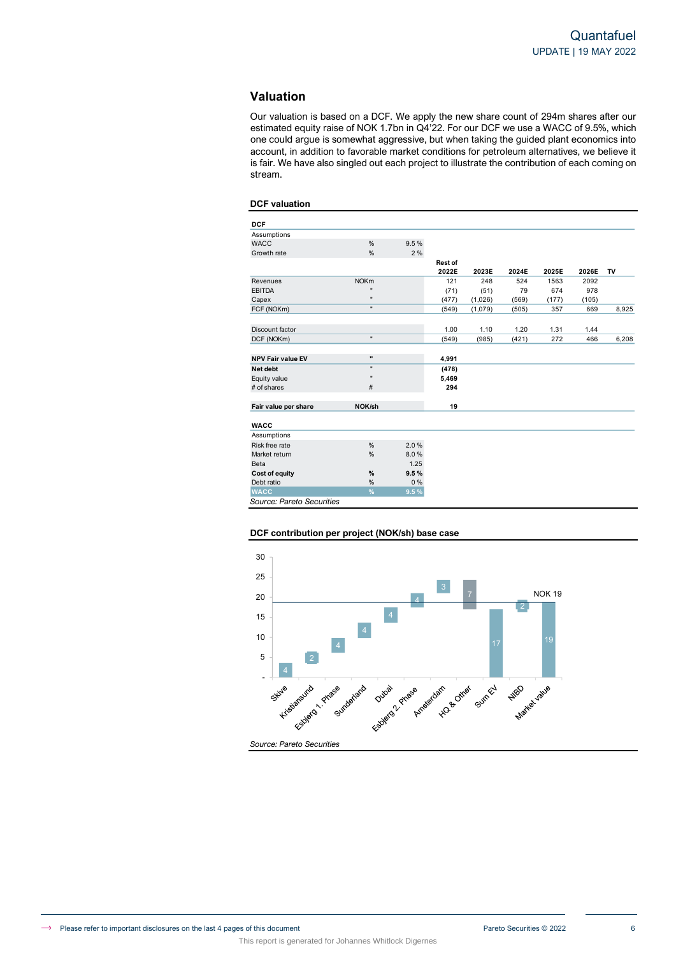# **Valuation**

Our valuation is based on a DCF. We apply the new share count of 294m shares after our estimated equity raise of NOK 1.7bn in Q4'22. For our DCF we use a WACC of 9.5%, which one could argue is somewhat aggressive, but when taking the guided plant economics into account, in addition to favorable market conditions for petroleum alternatives, we believe it is fair. We have also singled out each project to illustrate the contribution of each coming on stream.

## **DCF valuation**

| <b>DCF</b>                |                |       |                |         |       |       |       |       |
|---------------------------|----------------|-------|----------------|---------|-------|-------|-------|-------|
| Assumptions               |                |       |                |         |       |       |       |       |
| <b>WACC</b>               | %              | 9.5%  |                |         |       |       |       |       |
| Growth rate               | %              | 2%    |                |         |       |       |       |       |
|                           |                |       | <b>Rest of</b> |         |       |       |       |       |
|                           |                |       | 2022E          | 2023E   | 2024E | 2025E | 2026E | TV    |
| Revenues                  | <b>NOKm</b>    |       | 121            | 248     | 524   | 1563  | 2092  |       |
| <b>EBITDA</b>             | $\blacksquare$ |       | (71)           | (51)    | 79    | 674   | 978   |       |
| Capex                     | $\blacksquare$ |       | (477)          | (1,026) | (569) | (177) | (105) |       |
| FCF (NOKm)                | $\mathbf{u}$   |       | (549)          | (1,079) | (505) | 357   | 669   | 8,925 |
|                           |                |       |                |         |       |       |       |       |
| Discount factor           |                |       | 1.00           | 1.10    | 1.20  | 1.31  | 1.44  |       |
| DCF (NOKm)                | $\mathbf{u}$   |       | (549)          | (985)   | (421) | 272   | 466   | 6,208 |
|                           |                |       |                |         |       |       |       |       |
| <b>NPV Fair value EV</b>  | $\bullet$      |       | 4,991          |         |       |       |       |       |
| Net debt                  | $\blacksquare$ |       | (478)          |         |       |       |       |       |
| Equity value              | $\blacksquare$ |       | 5,469          |         |       |       |       |       |
| # of shares               | #              |       | 294            |         |       |       |       |       |
| Fair value per share      | NOK/sh         |       | 19             |         |       |       |       |       |
| <b>WACC</b>               |                |       |                |         |       |       |       |       |
| Assumptions               |                |       |                |         |       |       |       |       |
| Risk free rate            | %              | 2.0%  |                |         |       |       |       |       |
| Market return             | %              | 8.0%  |                |         |       |       |       |       |
| Beta                      |                | 1.25  |                |         |       |       |       |       |
| <b>Cost of equity</b>     | %              | 9.5%  |                |         |       |       |       |       |
| Debt ratio                | %              | $0\%$ |                |         |       |       |       |       |
| <b>WACC</b>               | %              | 9.5%  |                |         |       |       |       |       |
| Source: Pareto Securities |                |       |                |         |       |       |       |       |

## **DCF contribution per project (NOK/sh) base case**

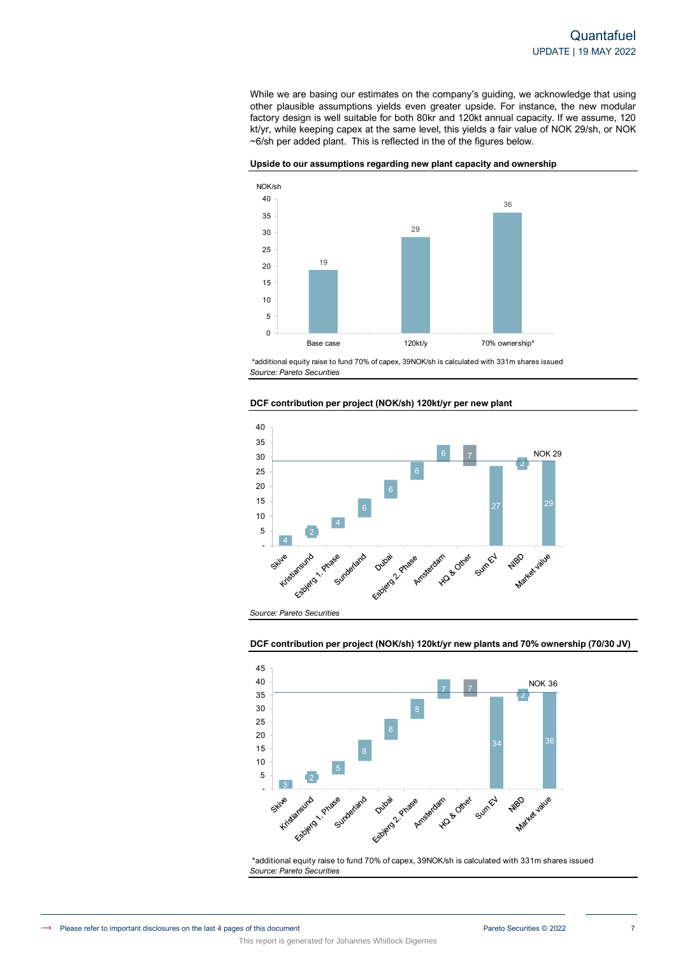While we are basing our estimates on the company's guiding, we acknowledge that using other plausible assumptions yields even greater upside. For instance, the new modular factory design is well suitable for both 80kr and 120kt annual capacity. If we assume, 120 kt/yr, while keeping capex at the same level, this yields a fair value of NOK 29/sh, or NOK ~6/sh per added plant. This is reflected in the of the figures below.





*Source: Pareto Securities* \*additional equity raise to fund 70% of capex, 39NOK/sh is calculated with 331m shares issued





*Source: Pareto Securities*

**DCF contribution per project (NOK/sh) 120kt/yr new plants and 70% ownership (70/30 JV)**



*Source: Pareto Securities* \*additional equity raise to fund 70% of capex, 39NOK/sh is calculated with 331m shares issued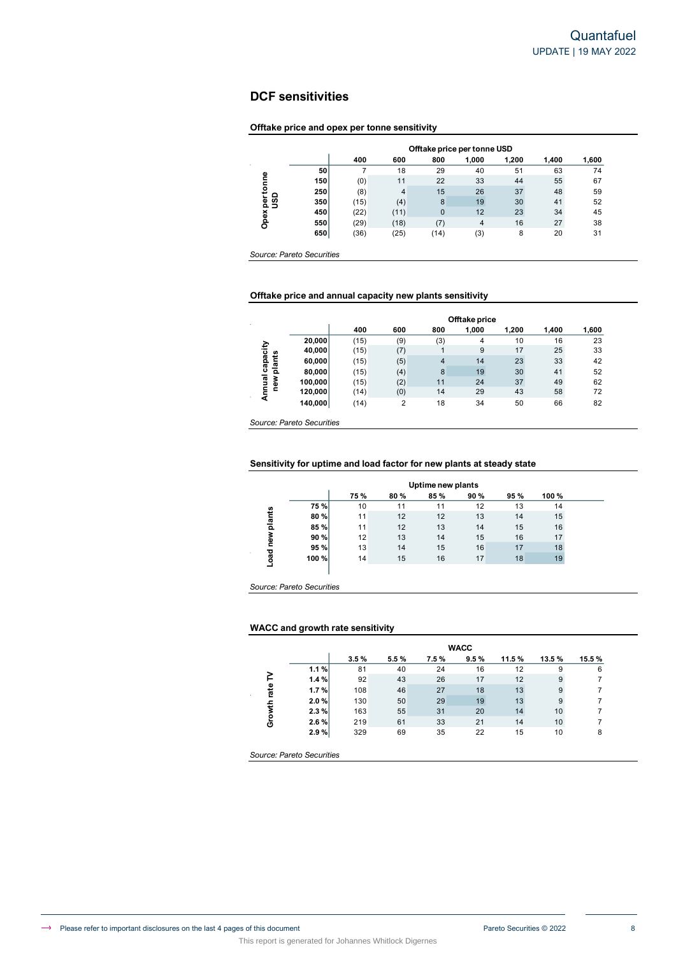# **DCF sensitivities**

# **Offtake price and opex per tonne sensitivity**

|              |     |      |      | Offtake price per tonne USD |       |       |       |       |
|--------------|-----|------|------|-----------------------------|-------|-------|-------|-------|
|              |     | 400  | 600  | 800                         | 1.000 | 1.200 | 1.400 | 1,600 |
| Φ            | 50  |      | 18   | 29                          | 40    | 51    | 63    | 74    |
|              | 150 | (0)  | 11   | 22                          | 33    | 44    | 55    | 67    |
| 혼            | 250 | (8)  | 4    | 15                          | 26    | 37    | 48    | 59    |
| ຮິ<br>⊾<br>횓 | 350 | (15) | (4)  | 8                           | 19    | 30    | 41    | 52    |
|              | 450 | (22) | (11) | $\overline{0}$              | 12    | 23    | 34    | 45    |
| Opex         | 550 | (29) | (18) | (7)                         | 4     | 16    | 27    | 38    |
|              | 650 | (36) | (25) | (14)                        | (3)   | 8     | 20    | 31    |

#### Offtake price and annual capacity new plants sensitivity **660** (36) **660** (36) The Separate Separate Separate Separate Separate Separate Separate Separate Separate Separate Separate Separate Separate Separate Separate Separate Separate Separate Separate Separate Separate Separat

| Opex per tonne  | 150                                                                   | (0)  | 11             | 22                      |                |       |       |       |
|-----------------|-----------------------------------------------------------------------|------|----------------|-------------------------|----------------|-------|-------|-------|
|                 |                                                                       |      |                |                         | 33             | 44    | 55    | 67    |
|                 | 250                                                                   | (8)  | 4              | 15                      | 26             | 37    | 48    | 59    |
| ຮິ              | 350                                                                   | (15) | (4)            | $\,$ 8 $\,$             | 19             | 30    | 41    | 52    |
|                 | 450                                                                   | (22) | (11)           | $\pmb{0}$               | 12             | 23    | 34    | 45    |
|                 | 550                                                                   | (29) | (18)           | (7)                     | $\overline{4}$ | 16    | 27    | 38    |
|                 | 650                                                                   | (36) | (25)           | (14)                    | (3)            | 8     | 20    | 31    |
|                 | Source: Pareto Securities                                             |      |                |                         |                |       |       |       |
|                 | Offtake price and annual capacity new plants sensitivity              |      |                |                         |                |       |       |       |
|                 |                                                                       |      |                |                         | Offtake price  |       |       |       |
|                 |                                                                       | 400  | 600            | 800                     | 1,000          | 1,200 | 1,400 | 1,600 |
|                 | 20,000                                                                | (15) | (9)            | (3)                     | 4              | 10    | 16    | 23    |
| Annual capacity | 40,000                                                                | (15) | (7)            | 1                       | $9\,$          | 17    | 25    | 33    |
| new plants      | 60,000                                                                | (15) | (5)            | $\overline{\mathbf{4}}$ | 14             | 23    | 33    | 42    |
|                 | 80,000                                                                | (15) | (4)            | $\,8\,$                 | 19             | 30    | 41    | 52    |
|                 | 100,000                                                               | (15) | (2)            | 11                      | 24             | 37    | 49    | 62    |
|                 | 120,000                                                               | (14) | (0)            | 14                      | 29             | 43    | 58    | 72    |
|                 |                                                                       |      |                |                         | 34             | 50    | 66    | 82    |
|                 | 140,000                                                               | (14) | $\overline{2}$ | 18                      |                |       |       |       |
|                 | Source: Pareto Securities                                             |      |                |                         |                |       |       |       |
|                 | Sensitivity for uptime and load factor for new plants at steady state |      |                | Uptime new plants       |                |       |       |       |
|                 |                                                                       | 75%  | 80%            | 85%                     | 90%            | 95%   | 100%  |       |
|                 | 75 %                                                                  | 10   | 11             | 11                      | 12             | 13    | 14    |       |
|                 | 80%                                                                   | 11   | 12             | 12                      | 13             | 14    | 15    |       |
|                 | 85%                                                                   | 11   | 12             | 13                      | 14             | 15    | 16    |       |
|                 | 90%                                                                   | 12   | 13             | 14                      | 15             | 16    | 17    |       |
|                 | 95%                                                                   | 13   | 14             | 15                      | 16             | 17    | 18    |       |
| Load new plants | 100%                                                                  | 14   | 15             | 16                      | 17             | 18    | 19    |       |

#### Sensitivity for uptime and load factor for new plants at steady state **20,000** (15) (9) (3) 4 10 16 23

|            |       |                                                                                                                                              |     | Uptime new plants |     |     |      |  |  |  |  |  |  |  |  |  |
|------------|-------|----------------------------------------------------------------------------------------------------------------------------------------------|-----|-------------------|-----|-----|------|--|--|--|--|--|--|--|--|--|
|            |       | 75%                                                                                                                                          | 80% | 85%               | 90% | 95% | 100% |  |  |  |  |  |  |  |  |  |
|            | 75 %  | 12<br>13<br>10<br>11<br>11<br>14<br>13<br>12<br>12<br>14<br>11<br>15<br>12<br>13<br>11<br>15<br>16<br>14<br>12<br>13<br>15<br>16<br>14<br>17 |     |                   |     |     |      |  |  |  |  |  |  |  |  |  |
| plants     | 80 %  |                                                                                                                                              |     |                   |     |     |      |  |  |  |  |  |  |  |  |  |
|            | 85 %  |                                                                                                                                              |     |                   |     |     |      |  |  |  |  |  |  |  |  |  |
| new        | 90 %  |                                                                                                                                              |     |                   |     |     |      |  |  |  |  |  |  |  |  |  |
|            | 95 %  | 13                                                                                                                                           | 14  | 15                | 16  | 17  | 18   |  |  |  |  |  |  |  |  |  |
| <b>Deo</b> | 100 % | 14                                                                                                                                           | 15  | 16                | 17  | 18  | 19   |  |  |  |  |  |  |  |  |  |
|            |       |                                                                                                                                              |     |                   |     |     |      |  |  |  |  |  |  |  |  |  |

### **WACC and growth rate sensitivity**

This report is generated for Johannes Whitlock Digernes

|                     | 80,000                                                                | (15) | (4)            | 8                 | 19          | 30    | 41              | 52             |  |
|---------------------|-----------------------------------------------------------------------|------|----------------|-------------------|-------------|-------|-----------------|----------------|--|
| Annual ca<br>new pl | 100,000                                                               | (15) | (2)            | 11                | 24          | 37    | 49              | 62             |  |
|                     | 120,000                                                               | (14) | (0)            | 14                | 29          | 43    | 58              | 72             |  |
|                     | 140,000                                                               | (14) | $\overline{2}$ | 18                | 34          | 50    | 66              | 82             |  |
|                     |                                                                       |      |                |                   |             |       |                 |                |  |
|                     | Source: Pareto Securities                                             |      |                |                   |             |       |                 |                |  |
|                     |                                                                       |      |                |                   |             |       |                 |                |  |
|                     |                                                                       |      |                |                   |             |       |                 |                |  |
|                     | Sensitivity for uptime and load factor for new plants at steady state |      |                |                   |             |       |                 |                |  |
|                     |                                                                       |      |                |                   |             |       |                 |                |  |
|                     |                                                                       |      |                | Uptime new plants |             |       |                 |                |  |
|                     |                                                                       | 75%  | 80%            | 85%               | 90%         | 95%   | 100%            |                |  |
|                     | 75%                                                                   | 10   | 11             | 11                | 12          | 13    | 14              |                |  |
|                     | 80%                                                                   | 11   | 12             | 12                | 13          | 14    | 15              |                |  |
|                     | 85%                                                                   | 11   | 12             | 13                | 14          | 15    | 16              |                |  |
|                     | 90%                                                                   | 12   | 13             | 14                | 15          | 16    | 17              |                |  |
|                     | 95%                                                                   | 13   | 14             | 15                | 16          | 17    | 18              |                |  |
| Load new plants     | 100%                                                                  | 14   | 15             | 16                | 17          | 18    | 19              |                |  |
|                     |                                                                       |      |                |                   |             |       |                 |                |  |
|                     |                                                                       |      |                |                   |             |       |                 |                |  |
|                     | Source: Pareto Securities                                             |      |                |                   |             |       |                 |                |  |
|                     |                                                                       |      |                |                   |             |       |                 |                |  |
|                     |                                                                       |      |                |                   |             |       |                 |                |  |
|                     | <b>WACC and growth rate sensitivity</b>                               |      |                |                   |             |       |                 |                |  |
|                     |                                                                       |      |                |                   |             |       |                 |                |  |
|                     |                                                                       |      |                |                   | <b>WACC</b> |       |                 |                |  |
|                     |                                                                       | 3.5% | 5.5%           | 7.5%              | 9.5%        | 11.5% | 13.5%           | 15.5%          |  |
|                     | 1.1%                                                                  | 81   | 40             | 24                | 16          | 12    | 9               | 6              |  |
|                     | 1.4%                                                                  | 92   | 43             | 26                | 17          | 12    | 9               | $\overline{7}$ |  |
|                     | 1.7%                                                                  | 108  | 46             | 27                | 18          | 13    | 9               | $\overline{7}$ |  |
| Growth rate TV      | 2.0%                                                                  | 130  | 50             | 29                | 19          | 13    | 9               | $\overline{7}$ |  |
|                     | 2.3%                                                                  | 163  | 55             | 31                | 20          | 14    | 10              | $\overline{7}$ |  |
|                     | 2.6%                                                                  | 219  | 61             | 33                | 21          | 14    | 10 <sup>1</sup> | $\overline{7}$ |  |
|                     | 2.9%                                                                  | 329  | 69             | 35                | 22          | 15    | 10              | 8              |  |
|                     |                                                                       |      |                |                   |             |       |                 |                |  |

*Source: Pareto Securities*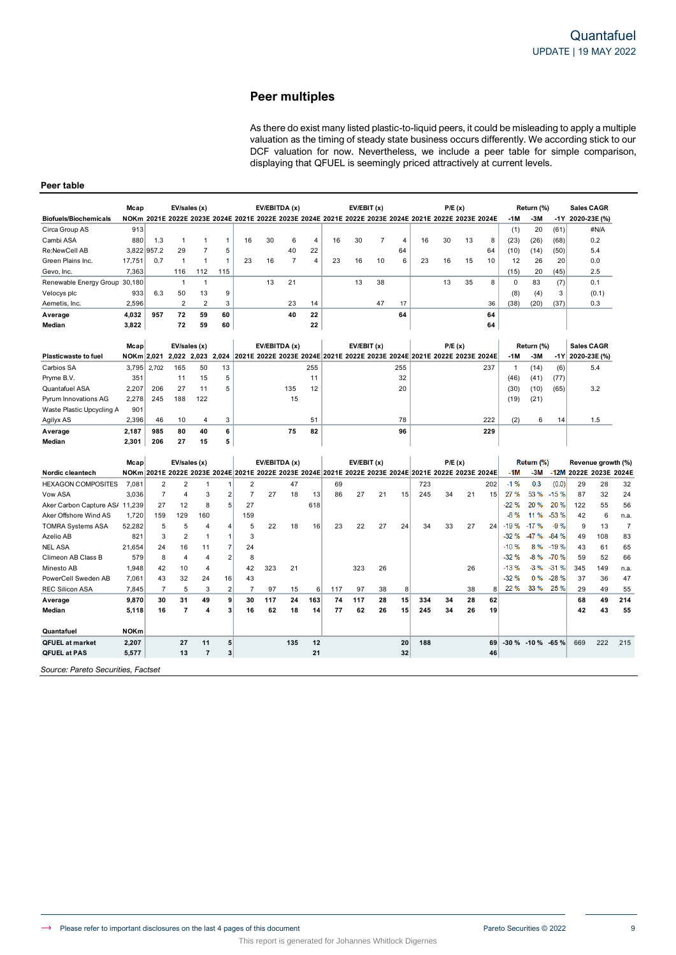# **Peer multiples**

As there do exist many listed plastic-to-liquid peers, it could be misleading to apply a multiple valuation as the timing of steady state business occurs differently. We according stick to our DCF valuation for now. Nevertheless, we include a peer table for simple comparison, displaying that QFUEL is seemingly priced attractively at current levels.

## **Peer table**

|                                    | Mcap             |                | EV/sales (x)   |                |                |                |     | EV/EBITDA (x)  |          |     | EV/EBIT (x) |                |                |                                                                                                      | P/E(x) |    |     |              | Return (%)          |        | <b>Sales CAGR</b>      |       |                |
|------------------------------------|------------------|----------------|----------------|----------------|----------------|----------------|-----|----------------|----------|-----|-------------|----------------|----------------|------------------------------------------------------------------------------------------------------|--------|----|-----|--------------|---------------------|--------|------------------------|-------|----------------|
| <b>Biofuels/Biochemicals</b>       |                  |                |                |                |                |                |     |                |          |     |             |                |                | NOKm 2021E 2022E 2023E 2024E 2021E 2022E 2023E 2024E 2021E 2022E 2023E 2024E 2021E 2022E 2023E 2024E |        |    |     | -1 M         | $-3M$               | -1Y    | 2020-23E (%)           |       |                |
| Circa Group AS                     | 913              |                |                |                |                |                |     |                |          |     |             |                |                |                                                                                                      |        |    |     | (1)          | 20                  | (61)   |                        | #N/A  |                |
| Cambi ASA                          | 880              | 1.3            | $\mathbf{1}$   | $\mathbf{1}$   | $\mathbf{1}$   | 16             | 30  | 6              | 4        | 16  | 30          | $\overline{7}$ | $\overline{4}$ | 16                                                                                                   | 30     | 13 | 8   | (23)         | (26)                | (68)   |                        | 0.2   |                |
| Re:NewCell AB                      | 3,822            | 957.2          | 29             | $\overline{7}$ | 5              |                |     | 40             | 22       |     |             |                | 64             |                                                                                                      |        |    | 64  | (10)         | (14)                | (50)   |                        | 5.4   |                |
| Green Plains Inc.                  | 17,751           | 0.7            | $\mathbf{1}$   | $\overline{1}$ | 1              | 23             | 16  | $\overline{7}$ | 4        | 23  | 16          | 10             | 6              | 23                                                                                                   | 16     | 15 | 10  | 12           | 26                  | 20     |                        | 0.0   |                |
| Gevo, Inc.                         | 7,363            |                | 116            | 112            | 115            |                |     |                |          |     |             |                |                |                                                                                                      |        |    |     | (15)         | 20                  | (45)   |                        | 2.5   |                |
| Renewable Energy Group 30,180      |                  |                | $\overline{1}$ | $\mathbf{1}$   |                |                | 13  | 21             |          |     | 13          | 38             |                |                                                                                                      | 13     | 35 | 8   | 0            | 83                  | (7)    |                        | 0.1   |                |
| Velocys plc                        | 933              | 6.3            | 50             | 13             | 9              |                |     |                |          |     |             |                |                |                                                                                                      |        |    |     | (8)          | (4)                 | 3      |                        | (0.1) |                |
| Aemetis, Inc.                      | 2,596            |                | $\overline{2}$ | $\overline{2}$ | 3              |                |     | 23             | 14       |     |             | 47             | 17             |                                                                                                      |        |    | 36  | (38)         | (20)                | (37)   |                        | 0.3   |                |
| Average                            | 4,032            | 957            | 72             | 59             | 60             |                |     | 40             | 22       |     |             |                | 64             |                                                                                                      |        |    | 64  |              |                     |        |                        |       |                |
| Median                             | 3,822            |                | 72             | 59             | 60             |                |     |                | 22       |     |             |                |                |                                                                                                      |        |    | 64  |              |                     |        |                        |       |                |
|                                    |                  |                |                |                |                |                |     |                |          |     |             |                |                |                                                                                                      |        |    |     |              |                     |        |                        |       |                |
|                                    | Mcap             |                | EV/sales (x)   |                |                |                |     | EV/EBITDA (x)  |          |     | EV/EBIT(x)  |                |                |                                                                                                      | P/E(x) |    |     |              | Return (%)          |        | <b>Sales CAGR</b>      |       |                |
| <b>Plasticwaste to fuel</b>        | NOKm 2,021       |                | 2,022          | 2,023          | 2.024          |                |     |                |          |     |             |                |                | 2021E 2022E 2023E 2024E 2021E 2022E 2023E 2024E 2021E 2022E 2023E 2024E                              |        |    |     | -1M          | $-3M$               | $-1Y$  | 2020-23E (%)           |       |                |
| Carbios SA                         | 3,795            | 2,702          | 165            | 50             | 13             |                |     |                | 255      |     |             |                | 255            |                                                                                                      |        |    | 237 | $\mathbf{1}$ | (14)                | (6)    |                        | 5.4   |                |
| Pryme B.V.                         | 351              |                | 11             | 15             | 5              |                |     |                | 11       |     |             |                | 32             |                                                                                                      |        |    |     | (46)         | (41)                | (77)   |                        |       |                |
| Quantafuel ASA                     | 2.207            | 206            | 27             | 11             | 5              |                |     | 135            | 12       |     |             |                | 20             |                                                                                                      |        |    |     | (30)         | (10)                | (65)   |                        | 3.2   |                |
| Pyrum Innovations AG               | 2,278            | 245            | 188            | 122            |                |                |     | 15             |          |     |             |                |                |                                                                                                      |        |    |     | (19)         | (21)                |        |                        |       |                |
| Waste Plastic Upcycling A          | 901              |                |                |                |                |                |     |                |          |     |             |                |                |                                                                                                      |        |    |     |              |                     |        |                        |       |                |
| Agilyx AS                          | 2,396            | 46             | 10             | $\overline{4}$ | 3              |                |     |                | 51       |     |             |                | 78             |                                                                                                      |        |    | 222 | (2)          | 6                   | 14     |                        | 1.5   |                |
| Average                            | 2,187            | 985            | 80             | 40             | 6              |                |     | 75             | 82       |     |             |                | 96             |                                                                                                      |        |    | 229 |              |                     |        |                        |       |                |
| Median                             | 2.301            | 206            | 27             | 15             | 5              |                |     |                |          |     |             |                |                |                                                                                                      |        |    |     |              |                     |        |                        |       |                |
|                                    |                  |                |                |                |                |                |     |                |          |     |             |                |                |                                                                                                      |        |    |     |              |                     |        |                        |       |                |
|                                    | Mcap             |                | EV/sales (x)   |                |                |                |     | EV/EBITDA (x)  |          |     | EV/EBIT (x) |                |                |                                                                                                      | P/E(x) |    |     |              | Return (%)          |        | Revenue growth (%)     |       |                |
| Nordic cleantech                   | NOK <sub>m</sub> |                |                |                |                |                |     |                |          |     |             |                |                | 2021E 2022E 2023E 2024E 2021E 2022E 2023E 2024E 2021E 2022E 2023E 2024E 2021E 2022E 2023E 2024E      |        |    |     | -1M          | $-3M$               |        | -12M 2022E 2023E 2024E |       |                |
| <b>HEXAGON COMPOSITES</b>          | 7,081            | $\overline{2}$ | $\overline{2}$ | 1              | 1              | 2              |     | 47             |          | 69  |             |                |                | 723                                                                                                  |        |    | 202 | $-1%$        | 0.3                 | (0.0)  | 29                     | 28    | 32             |
| Vow ASA                            | 3.036            | $\overline{7}$ | $\overline{4}$ | 3              | $\overline{2}$ | $\overline{7}$ | 27  | 18             | 13       | 86  | 27          | 21             | 15             | 245                                                                                                  | 34     | 21 | 15  | 27 %         | 53 %                | $-15%$ | 87                     | 32    | 24             |
| Aker Carbon Capture AS/ 11,239     |                  | 27             | 12             | 8              | 5              | 27             |     |                | 618      |     |             |                |                |                                                                                                      |        |    |     | $-22%$       | 20 %                | 20%    | 122                    | 55    | 56             |
| Aker Offshore Wind AS              | 1,720            | 159            | 129            | 160            |                | 159            |     |                |          |     |             |                |                |                                                                                                      |        |    |     | -8 %         | 11 %                | $-53%$ | 42                     | 6     | n.a.           |
| <b>TOMRA Systems ASA</b>           | 52,282           | 5              | 5              | 4              | $\overline{4}$ | 5              | 22  | 18             | 16       | 23  | 22          | 27             | 24             | 34                                                                                                   | 33     | 27 | 24  | $-19%$       | $-17%$              | $-9%$  | 9                      | 13    | $\overline{7}$ |
| Azelio AB                          | 821              | 3              | $\overline{2}$ | $\mathbf{1}$   | $\overline{1}$ | 3              |     |                |          |     |             |                |                |                                                                                                      |        |    |     | $-32%$       | -47%                | $-84%$ | 49                     | 108   | 83             |
| <b>NEL ASA</b>                     | 21.654           | 24             | 16             | 11             | 7              | 24             |     |                |          |     |             |                |                |                                                                                                      |        |    |     | $-10%$       | 8%                  | $-19%$ | 43                     | 61    | 65             |
| Climeon AB Class B                 | 579              | 8              | $\overline{4}$ | 4              | $\overline{2}$ | 8              |     |                |          |     |             |                |                |                                                                                                      |        |    |     | $-32%$       | $-8%$               | $-70%$ | 59                     | 52    | 66             |
| Minesto AB                         | 1,948            | 42             | 10             | $\overline{4}$ |                | 42             | 323 | 21             |          |     | 323         | 26             |                |                                                                                                      |        | 26 |     | $-13%$       | $-3%$               | $-31%$ | 345                    | 149   | n.a.           |
| PowerCell Sweden AB                | 7.061            | 43             | 32             | 24             | 16             | 43             |     |                |          |     |             |                |                |                                                                                                      |        |    |     | $-32%$       | 0%                  | $-28%$ | 37                     | 36    | 47             |
| <b>REC Silicon ASA</b>             | 7,845            | $\overline{7}$ | 5              | 3              | $\overline{2}$ | $\overline{7}$ | 97  | 15             | $6 \mid$ | 117 | 97          | 38             | 8              |                                                                                                      |        | 38 | 8   | 22 %         | 33 %                | 25 %   | 29                     | 49    | 55             |
| Average                            | 9,870            | 30             | 31             | 49             | 9              | 30             | 117 | 24             | 163      | 74  | 117         | 28             | 15             | 334                                                                                                  | 34     | 28 | 62  |              |                     |        | 68                     | 49    | 214            |
| Median                             | 5,118            | 16             | $\overline{7}$ | 4              | 3              | 16             | 62  | 18             | 14       | 77  | 62          | 26             | 15             | 245                                                                                                  | 34     | 26 | 19  |              |                     |        | 42                     | 43    | 55             |
| Quantafuel                         | <b>NOKm</b>      |                |                |                |                |                |     |                |          |     |             |                |                |                                                                                                      |        |    |     |              |                     |        |                        |       |                |
| <b>QFUEL at market</b>             | 2,207            |                | 27             | 11             | 5              |                |     | 135            | 12       |     |             |                | 20             | 188                                                                                                  |        |    | 69  |              | $-30\% -10\% -65\%$ |        | 669                    | 222   | 215            |
| <b>QFUEL at PAS</b>                | 5,577            |                | 13             | $\overline{7}$ | 3              |                |     |                | 21       |     |             |                | 32             |                                                                                                      |        |    | 46  |              |                     |        |                        |       |                |
| Source: Pareto Securities, Factset |                  |                |                |                |                |                |     |                |          |     |             |                |                |                                                                                                      |        |    |     |              |                     |        |                        |       |                |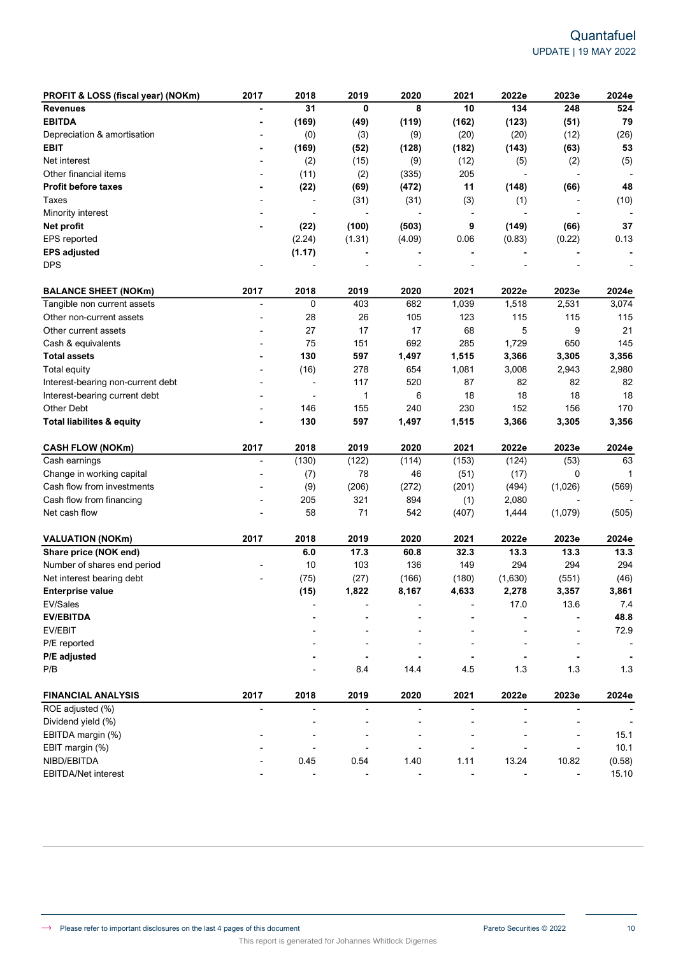| PROFIT & LOSS (fiscal year) (NOKm)   | 2017                     | 2018                     | 2019           | 2020   | 2021                     | 2022e   | 2023e          | 2024e                    |
|--------------------------------------|--------------------------|--------------------------|----------------|--------|--------------------------|---------|----------------|--------------------------|
| <b>Revenues</b>                      |                          | 31                       | 0              | 8      | 10                       | 134     | 248            | 524                      |
| <b>EBITDA</b>                        |                          | (169)                    | (49)           | (119)  | (162)                    | (123)   | (51)           | 79                       |
| Depreciation & amortisation          |                          | (0)                      | (3)            | (9)    | (20)                     | (20)    | (12)           | (26)                     |
| <b>EBIT</b>                          |                          | (169)                    | (52)           | (128)  | (182)                    | (143)   | (63)           | 53                       |
| Net interest                         |                          | (2)                      | (15)           | (9)    | (12)                     | (5)     | (2)            | (5)                      |
| Other financial items                |                          | (11)                     | (2)            | (335)  | 205                      |         | ÷,             |                          |
| <b>Profit before taxes</b>           |                          | (22)                     | (69)           | (472)  | 11                       | (148)   | (66)           | 48                       |
| Taxes                                |                          | $\overline{a}$           | (31)           | (31)   | (3)                      | (1)     |                | (10)                     |
| Minority interest                    |                          |                          |                |        | $\overline{\phantom{a}}$ |         |                |                          |
| Net profit                           |                          | (22)                     | (100)          | (503)  | 9                        | (149)   | (66)           | 37                       |
| EPS reported                         |                          | (2.24)                   | (1.31)         | (4.09) | 0.06                     | (0.83)  | (0.22)         | 0.13                     |
| <b>EPS adjusted</b>                  |                          | (1.17)                   |                |        | Ē,                       |         |                |                          |
| <b>DPS</b>                           |                          |                          |                |        |                          |         |                |                          |
| <b>BALANCE SHEET (NOKm)</b>          | 2017                     | 2018                     | 2019           | 2020   | 2021                     | 2022e   | 2023e          | 2024e                    |
| Tangible non current assets          | $\overline{\phantom{a}}$ | 0                        | 403            | 682    | 1,039                    | 1,518   | 2,531          | 3,074                    |
| Other non-current assets             |                          | 28                       | 26             | 105    | 123                      | 115     | 115            | 115                      |
| Other current assets                 |                          | 27                       | 17             | 17     | 68                       | 5       | 9              | 21                       |
| Cash & equivalents                   |                          | 75                       | 151            | 692    | 285                      | 1,729   | 650            | 145                      |
| <b>Total assets</b>                  |                          | 130                      | 597            | 1,497  | 1,515                    | 3,366   | 3,305          | 3,356                    |
| <b>Total equity</b>                  |                          | (16)                     | 278            | 654    | 1,081                    | 3,008   | 2,943          | 2,980                    |
| Interest-bearing non-current debt    |                          | $\overline{a}$           | 117            | 520    | 87                       | 82      | 82             | 82                       |
| Interest-bearing current debt        |                          |                          | 1              | 6      | 18                       | 18      | 18             | 18                       |
| <b>Other Debt</b>                    |                          | 146                      | 155            | 240    | 230                      | 152     | 156            | 170                      |
| <b>Total liabilites &amp; equity</b> |                          | 130                      | 597            | 1,497  | 1,515                    | 3,366   | 3,305          | 3,356                    |
| <b>CASH FLOW (NOKm)</b>              | 2017                     | 2018                     | 2019           | 2020   | 2021                     | 2022e   | 2023e          | 2024e                    |
| Cash earnings                        | $\overline{\phantom{a}}$ | (130)                    | (122)          | (114)  | (153)                    | (124)   | (53)           | 63                       |
| Change in working capital            |                          | (7)                      | 78             | 46     | (51)                     | (17)    | 0              | $\mathbf{1}$             |
| Cash flow from investments           |                          | (9)                      | (206)          | (272)  | (201)                    | (494)   | (1,026)        | (569)                    |
| Cash flow from financing             |                          | 205                      | 321            | 894    | (1)                      | 2,080   |                |                          |
| Net cash flow                        |                          | 58                       | 71             | 542    | (407)                    | 1,444   | (1,079)        | (505)                    |
| <b>VALUATION (NOKm)</b>              | 2017                     | 2018                     | 2019           | 2020   | 2021                     | 2022e   | 2023e          | 2024e                    |
| Share price (NOK end)                |                          | 6.0                      | 17.3           | 60.8   | 32.3                     | 13.3    | 13.3           | 13.3                     |
| Number of shares end period          |                          | 10                       | 103            | 136    | 149                      | 294     | 294            | 294                      |
| Net interest bearing debt            |                          | (75)                     | (27)           | (166)  | (180)                    | (1,630) | (551)          | (46)                     |
| <b>Enterprise value</b>              |                          | (15)                     | 1,822          | 8,167  | 4,633                    | 2,278   | 3,357          | 3,861                    |
| EV/Sales                             |                          |                          |                |        |                          | 17.0    | 13.6           | $7.4$                    |
| <b>EV/EBITDA</b>                     |                          |                          |                |        |                          |         |                | 48.8                     |
| EV/EBIT                              |                          |                          |                |        |                          |         | $\blacksquare$ | 72.9                     |
| P/E reported                         |                          |                          |                |        |                          |         |                | $\overline{\phantom{a}}$ |
| P/E adjusted                         |                          |                          |                |        | $\blacksquare$           |         | ۰              | $\blacksquare$           |
| P/B                                  |                          |                          | 8.4            | 14.4   | 4.5                      | 1.3     | 1.3            | 1.3                      |
| <b>FINANCIAL ANALYSIS</b>            | 2017                     | 2018                     | 2019           | 2020   | 2021                     | 2022e   | 2023e          | 2024e                    |
| ROE adjusted (%)                     |                          | $\overline{\phantom{0}}$ | $\overline{a}$ | ÷,     | $\overline{\phantom{a}}$ |         |                |                          |
| Dividend yield (%)                   |                          |                          |                |        |                          |         |                | ÷,                       |
| EBITDA margin (%)                    |                          |                          |                |        |                          |         |                | 15.1                     |
| EBIT margin (%)                      |                          |                          |                |        |                          |         |                | 10.1                     |
| NIBD/EBITDA                          |                          | 0.45                     | 0.54           | 1.40   | 1.11                     | 13.24   | 10.82          | (0.58)                   |
| <b>EBITDA/Net interest</b>           |                          |                          |                |        |                          |         |                | 15.10                    |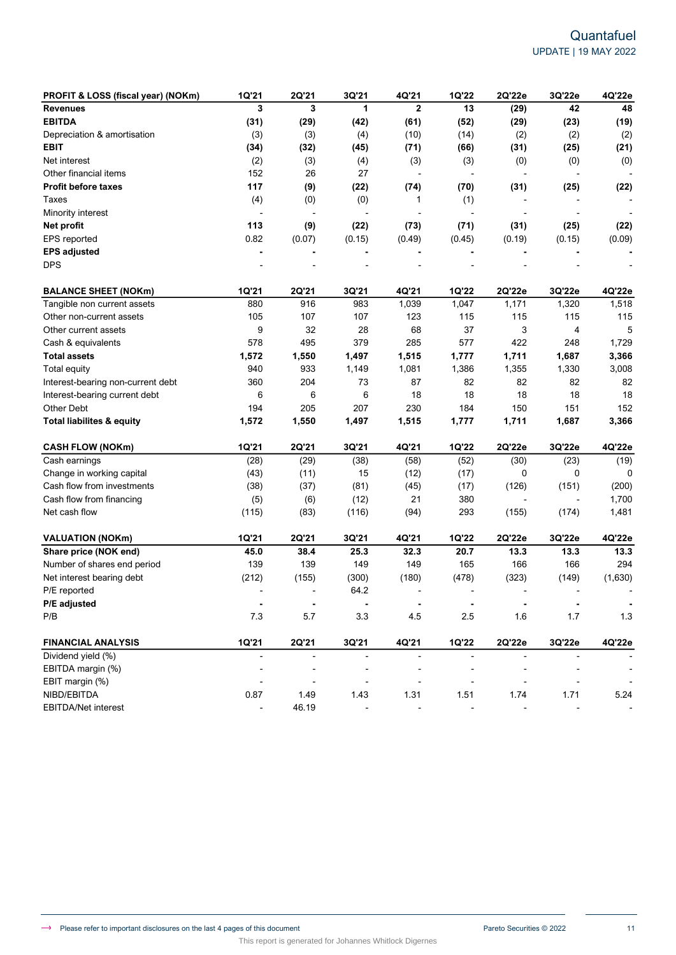| PROFIT & LOSS (fiscal year) (NOKm)   | 1Q'21          | 2Q'21                    | 3Q'21          | 4Q'21                    | 1Q'22                    | 2Q'22e         | 3Q'22e                   | 4Q'22e                   |
|--------------------------------------|----------------|--------------------------|----------------|--------------------------|--------------------------|----------------|--------------------------|--------------------------|
| <b>Revenues</b>                      | 3              | 3                        | 1              | $\mathbf{2}$             | 13                       | (29)           | 42                       | 48                       |
| <b>EBITDA</b>                        | (31)           | (29)                     | (42)           | (61)                     | (52)                     | (29)           | (23)                     | (19)                     |
| Depreciation & amortisation          | (3)            | (3)                      | (4)            | (10)                     | (14)                     | (2)            | (2)                      | (2)                      |
| <b>EBIT</b>                          | (34)           | (32)                     | (45)           | (71)                     | (66)                     | (31)           | (25)                     | (21)                     |
| Net interest                         | (2)            | (3)                      | (4)            | (3)                      | (3)                      | (0)            | (0)                      | (0)                      |
| Other financial items                | 152            | 26                       | 27             | $\overline{\phantom{a}}$ | $\overline{\phantom{a}}$ |                | ÷,                       |                          |
| <b>Profit before taxes</b>           | 117            | (9)                      | (22)           | (74)                     | (70)                     | (31)           | (25)                     | (22)                     |
| Taxes                                | (4)            | (0)                      | (0)            | 1                        | (1)                      |                |                          |                          |
| Minority interest                    | $\overline{a}$ | $\overline{\phantom{a}}$ |                |                          |                          |                |                          |                          |
| Net profit                           | 113            | (9)                      | (22)           | (73)                     | (71)                     | (31)           | (25)                     | (22)                     |
| EPS reported                         | 0.82           | (0.07)                   | (0.15)         | (0.49)                   | (0.45)                   | (0.19)         | (0.15)                   | (0.09)                   |
| <b>EPS adjusted</b>                  |                |                          |                |                          |                          |                |                          |                          |
| <b>DPS</b>                           |                |                          |                |                          |                          |                |                          |                          |
| <b>BALANCE SHEET (NOKm)</b>          | <b>1Q'21</b>   | 2Q'21                    | 3Q'21          | 4Q'21                    | 1Q'22                    | 2Q'22e         | 3Q'22e                   | 4Q'22e                   |
| Tangible non current assets          | 880            | 916                      | 983            | 1,039                    | 1,047                    | 1,171          | 1,320                    | 1,518                    |
| Other non-current assets             | 105            | 107                      | 107            | 123                      | 115                      | 115            | 115                      | 115                      |
| Other current assets                 | 9              | 32                       | 28             | 68                       | 37                       | 3              | 4                        | 5                        |
| Cash & equivalents                   | 578            | 495                      | 379            | 285                      | 577                      | 422            | 248                      | 1,729                    |
| <b>Total assets</b>                  | 1,572          | 1,550                    | 1,497          | 1,515                    | 1,777                    | 1,711          | 1,687                    | 3,366                    |
| <b>Total equity</b>                  | 940            | 933                      | 1,149          | 1,081                    | 1,386                    | 1,355          | 1,330                    | 3,008                    |
| Interest-bearing non-current debt    | 360            | 204                      | 73             | 87                       | 82                       | 82             | 82                       | 82                       |
| Interest-bearing current debt        | 6              | 6                        | 6              | 18                       | 18                       | 18             | 18                       | 18                       |
| <b>Other Debt</b>                    | 194            | 205                      | 207            | 230                      | 184                      | 150            | 151                      | 152                      |
| <b>Total liabilites &amp; equity</b> | 1,572          | 1,550                    | 1,497          | 1,515                    | 1,777                    | 1,711          | 1,687                    | 3,366                    |
| <b>CASH FLOW (NOKm)</b>              | 1Q'21          | 2Q'21                    | 3Q'21          | 4Q'21                    | 1Q'22                    | 2Q'22e         | 3Q'22e                   | 4Q'22e                   |
| Cash earnings                        | (28)           | (29)                     | (38)           | (58)                     | (52)                     | (30)           | (23)                     | (19)                     |
| Change in working capital            | (43)           | (11)                     | 15             | (12)                     | (17)                     | 0              | 0                        | 0                        |
| Cash flow from investments           | (38)           | (37)                     | (81)           | (45)                     | (17)                     | (126)          | (151)                    | (200)                    |
| Cash flow from financing             | (5)            | (6)                      | (12)           | 21                       | 380                      |                | $\overline{\phantom{a}}$ | 1,700                    |
| Net cash flow                        | (115)          | (83)                     | (116)          | (94)                     | 293                      | (155)          | (174)                    | 1,481                    |
| <b>VALUATION (NOKm)</b>              | 1Q'21          | 2Q'21                    | 3Q'21          | 4Q'21                    | 1Q'22                    | 2Q'22e         | 3Q'22e                   | 4Q'22e                   |
| Share price (NOK end)                | 45.0           | 38.4                     | 25.3           | 32.3                     | 20.7                     | 13.3           | 13.3                     | 13.3                     |
| Number of shares end period          | 139            | 139                      | 149            | 149                      | 165                      | 166            | 166                      | 294                      |
| Net interest bearing debt            | (212)          | (155)                    | (300)          | (180)                    | (478)                    | (323)          | (149)                    | (1,630)                  |
| P/E reported                         |                | $\overline{\phantom{a}}$ | 64.2           |                          |                          |                |                          |                          |
| P/E adjusted                         | $\blacksquare$ | $\blacksquare$           | $\blacksquare$ | ٠                        | $\blacksquare$           | ۰              | ۰                        | $\blacksquare$           |
| P/B                                  | 7.3            | 5.7                      | 3.3            | 4.5                      | 2.5                      | 1.6            | 1.7                      | 1.3                      |
| <b>FINANCIAL ANALYSIS</b>            | 1Q'21          | 2Q'21                    | 3Q'21          | 4Q'21                    | 1Q'22                    | 2Q'22e         | 3Q'22e                   | 4Q'22e                   |
| Dividend yield (%)                   | $\blacksquare$ | $\blacksquare$           | $\blacksquare$ | $\overline{a}$           | $\overline{\phantom{a}}$ | $\overline{a}$ | $\overline{\phantom{a}}$ |                          |
| EBITDA margin (%)                    |                | $\overline{a}$           |                |                          |                          |                |                          | $\overline{\phantom{a}}$ |
| EBIT margin (%)                      |                |                          |                |                          |                          |                |                          | $\overline{\phantom{a}}$ |
| NIBD/EBITDA                          | 0.87           | 1.49                     | 1.43           | 1.31                     | 1.51                     | 1.74           | 1.71                     | 5.24                     |
| EBITDA/Net interest                  |                | 46.19                    |                |                          |                          |                |                          |                          |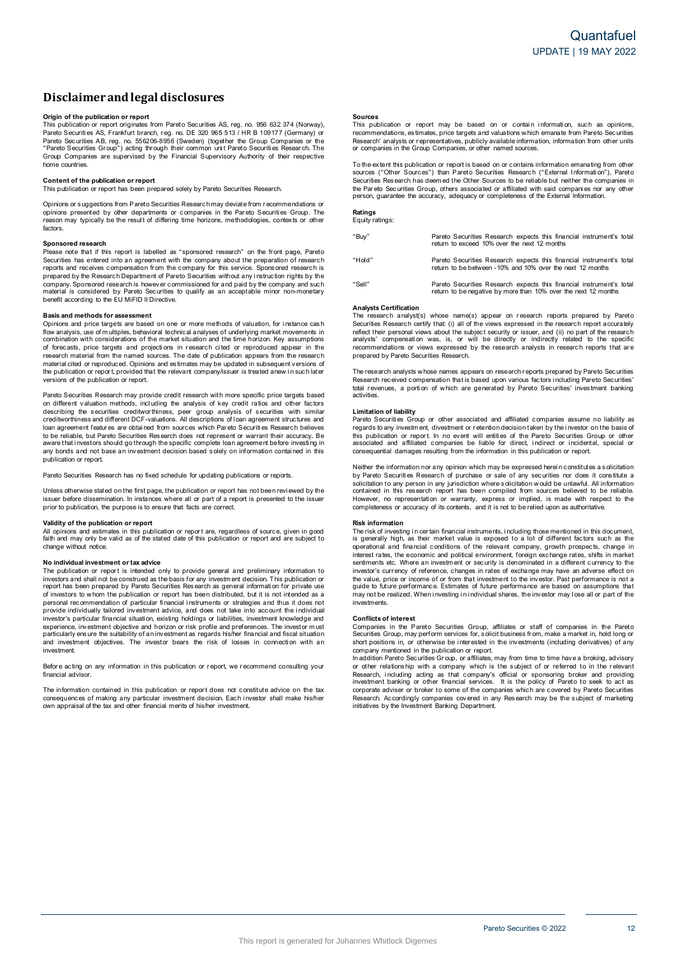# **Disclaimerandlegal disclosures**

**Origin <b>of the publication or report**<br>This publication or report originates from Pareto Securities AS, reg. no. 956 632 374 (Norway), Pareto Securiti es AS, Frankfurt branch, r eg. no. DE 320 965 513 / HR B 109177 (Germany) or Pareto Securities AB, reg. no. 556206-8956 (Sweden) (together the Group Companies or the "Pareto Securities Group") acting through their common uni t Pareto Securiti es Resear ch. The Group Companies are supervised b y the Financial Supervisory Authority of their respective home countries.

### **Content of the publication or report**

This publication or report has been prepared solely by Pareto Securities Research.

Opinions or s uggestions from Pareto Securities Research may deviate from r ecommendations or opinions presented by other departments or companies in the Pareto Securities Group. The<br>reason may typically be the result of differing time horizons, methodologies, contexts or other factors.

### **Sponsored research**

Please note that if this report is labelled as "sponsored research" on the front page, Pareto Securities has entered into an agreement with the company about the preparation of research<br>reports and receives compensation from the company for this service. Sponsored research is prepared by the Research Department of Pareto Securities without any instruction rights by the company. Sponsored research is however commissioned for and paid by the company and such material is considered by Pareto Securities to qualify as an acceptable minor non-monetary benefit according to the EU MiFID II Directive.

#### **Basis and methods for assessment**

Opinions and price targets are based on one or more methods of valuation, for instance cash flow analysis, use of m ultiples, behavioral technical analyses of underlying market movements in combination with considerations of the market situation and the time horizon. Key assumptions of forecasts, price targets and projections in research cited or reproduced appear in the research material from the named sources. The date of publication appears from the research material cited or reproduced. Opinions and estimates may be updated in subsequent versions of the publication or report, provided that the relevant company/issuer is treated anew in such later<br>versions of the publication or report.

Pareto Securities Research may provide credit research with more specific price targets based on different valuation methods, incl uding the analysis of key credit ratios and other factors describing the securities creditworthiness, peer group analysis of securities with similar<br>creditworthinessand different DCF-valuations. All descriptions of loan agreement structures and loan agreement featur es are obtai ned from sources which Par eto Securiti es Research believes to be reliable, but Pareto Securities Research does not represent or warrant their accuracy. Be<br>aware that investors should go through the specific complete loan agreement before investing in any bonds and not base an investment decision based solely on information contained in this publication or report.

Pareto Securities Research has no fixed schedule for updating publications or reports.

Unless otherwise stated on the first page, the publication or report has not been revi ewed by the issuer before dissemination. In instances where all or part of a report is presented to the issuer<br>prior to publication, the purpose is to ensure that facts are correct.

#### **Validity of the publication or report**

All opinions and estimates in this publication or report are, regardless of source, given in good<br>faith and may only be valid as of the stated date of this publication or report and are subject to change without notice.

### **N o individual investment o r tax advice**

The publication or report is intended only to provide general and preliminary information to investors and shall not be construed as the basis for any investment decision. This publication or<br>report has been prepared by Pareto Securities Research as general information for private use of investors to whom the publication or report has been distributed, but it is not intended as a personal recommendation of particular financial instruments or strategies and thus it does not<br>provide individually tailored investment advice, and does not take into account the individual<br>investor's particular financial experience, investment objective and horizon or risk profile and preferences. The investor m ust particularly ensure the suitability of an investment as regards his/her financial and fiscal situation<br>and investment objectives. The investor bears the risk of losses in connection with an investment.

Before acting on any information in this publication or report, we recommend consulting your financial advisor

The information contained in this publication or report does not constitute advice on the tax consequences of making any particular investment decision. Each investor shall make his/her<br>own appraisal of the tax and other financial merits of his/her investment.

**Sources**<br>This publication or report may be based on or contain information, such as opinions, recommendations, es timates, price targets and valuations w hich emanate from Pareto Securities Research' analysts or representatives, publicly available information, information from other units<br>or companies in the Group Companies, or other named sources.

To the extent this publication or report is based on or contains information emanating from other<br>sources ("Other Sources") than Pareto Securities Research ("External Information"), Pareto Securities Res earch has deem ed the Other Sources to be reliable but neither the companies in the Par eto Securities Group, others associated or affiliated with said compani es nor any other person, guarantee the accuracy, adequacy or completeness of the External Information.

# **Ratings** Equity ratings:

| "Buy"  | Pareto Securities Research expects this financial instrument's total<br>return to exceed 10% over the next 12 months                   |
|--------|----------------------------------------------------------------------------------------------------------------------------------------|
| "Hold" | Pareto Securities Research expects this financial instrument's total<br>return to be between -10% and 10% over the next 12 months      |
| "Sell" | Pareto Securities Research expects this financial instrument's total<br>return to be negative by more than 10% over the next 12 months |

#### **Analysts Certification**

The research analyst(s) whose name(s) appear on research reports prepared by Pareto Securities Research certify that: (i) all of the views expressed in the research report accurately<br>reflect their personal views about the subject security or issuer, and (ii) no part of the research analysts' compensation was, is, or will be directly or indirectly related to the specific<br>recommendations or views expressed by the research analysts in research reports that are prepared by Pareto Securities Research.

The research analysts w hose names appears on research reports prepared by Pareto Securities<br>Research received compensation that is based upon various factors i ncluding Pareto Securities' total revenues, a portion of which are generated by Pareto Securities' investment banking activities.

#### **Limitation of liability**

Pareto Securities Group or other associated and affiliated companies assume no liability as regards to any investment, divestment or retention decision taken by the investor on the basis of this publication or report. In no event will entities of the Pareto Securities Group or other<br>associated and affiliated companies be liable for direct, indirect or incidental, special or consequential damages resulting from the information in this publication or report.

Neither the information nor any opinion which may be expressed herein constitutes a solicitation by Pareto Securities Research of purchase or sale of any securities nor does it constitute a<br>solicitation to any person in any jurisdiction where solicitation would be unlawful. All information<br>contained in this research r However, no representation or warranty, express or implied, is made with respect to the<br>completeness or accuracy of its contents, and it is not to be relied upon as authoritative.

#### **Risk information**

The risk of investing in certain financial instruments, including those mentioned in this document,<br>is generally high, as their market value is exposed to a lot of different factors such as the operational and financial conditions of the relevant company, growth prospects, change in interest rates, the economic and political environment, foreign exchange rates, shifts in market<br>sentiments etc. Where an investment or security is denominated in a different currency to the investor's currency of reference, changes in rates of exchange may have an adverse effect on the value, price or income of or from that investment to the investor. Past performance is not a<br>guide to future performance. Estimates of future performance are based on assumptions that may not be realized. When investing in individual shares, the investor may lose all or part of the investments.

### **Conflicts of interest**

Companies in the Pareto Securities Group, affiliates or staff of companies in the Pareto Securities Group, may perform services for, s olicit business from, make a market in, hold long or short positions in, or otherwise be interested in the investments (including derivatives) of any company mentioned in the publication or report.

In addition Pareto Securities Gr oup, or affiliates, may from time to time have a broking, advisory<br>or other relations hip with a company which is the subject of or referred to in the relevant Research, including acting as that company's official or sponsoring broker and providing<br>investment banking or other financial services. It is the policy of Pareto to seek to act as corporate adviser or broker to some of the companies which are covered by Pareto Securities Research. Accordingly companies covered in any Research may be the subject of marketing<br>initiatives by the Investment Banking Department.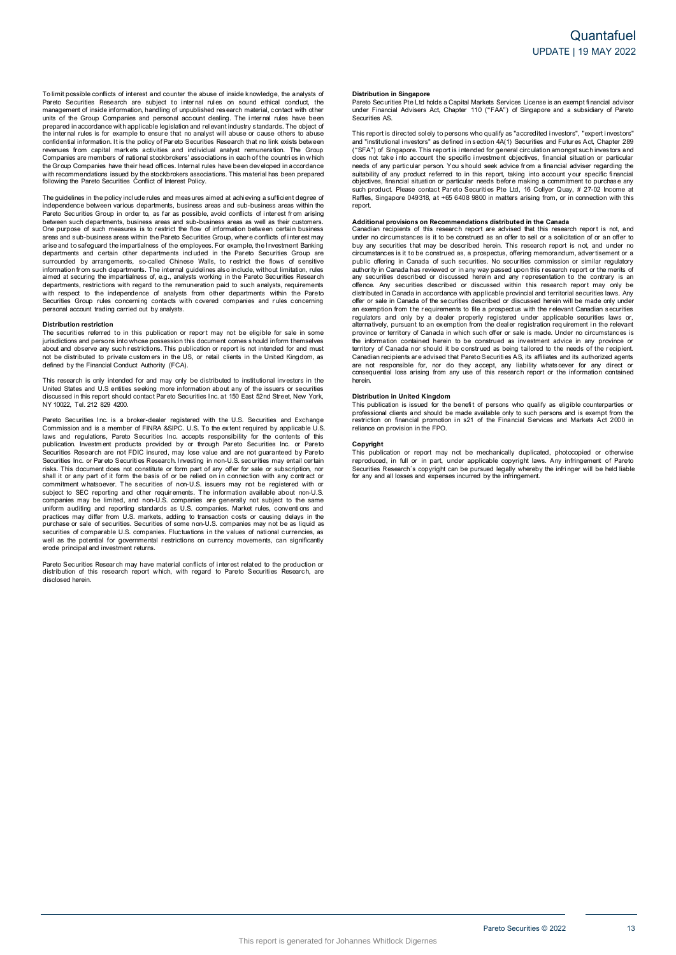To limit possible conflicts of interest and counter the abuse of inside knowledge, the analysts of<br>Pareto Securities Research are subject to internal rules on sound ethical conduct, the management of inside information, handling of unpublished research material, contact with other<br>units of the Group Companies and personal account dealing. The internal rules have been prepared in accordance with applicable legislation and relevant industry standards. The object of<br>the internal rules is for example to ensure that no a nalyst will abuse or cause others to abuse confidential information. It is the policy of Pareto Securities Research that no link exists between<br>revenues from capital markets activities and individual analyst remuneration. The Group Companies are members of national stockbrokers' associations in each of the countries in which the Gr oup Companies have their head offices. Internal rules have been developed i n accordance with recommendations issued by the stockbrokers associations. This material has been prepared<br>following the Pareto Securities Conflict of Interest Policy.

The guidelines in the policy include rules and meas ures aimed at achi eving a sufficient degree of independence between various departments, business areas and sub-business areas within the Pareto Securities Group in order to, as far as possible, avoid conflicts of interest from arising between such departments, business areas and sub-business areas as well as their customers.<br>One purpose of such measures is to restrict the flow of information between certain business areas and s ub-business areas within the Par eto Securities Group, wher e conflicts of i nter est may arise and to safeguard the impartialness of the employees. For example, the Investment Banking<br>departments and certain other departments included in the Par eto Securities Group are surrounded by arrangements, so-called Chinese Walls, to restrict the flows of sensitive information fr om such departments. The internal guidelines als o include, without limitation, rules aimed at securing the impartialness of, e.g., analysts working i n the Pareto Securities Research departments, restrictions with regard to the remuneration paid to such analysts, requirements<br>with respect to the independence of analysts from other departments within the Pareto Securities Group rules concerning contacts with covered companies and rules concerning<br>personal account trading carried out by analysts.

#### **Distribution restriction**

The securities referred to in this publication or report may not be eligible for sale in some jurisdictions and persons into whose possession this document comes s hould inform themselves about and observe any such restrictions. This publication or report is not intended for and must<br>not be distributed to private customers in the US, or retail clients in the United Kingdom, as defined by the Financial Conduct Authority (FCA).

This research is only intended for and may only be distributed to institutional investors in the United States and U.S entities seeking more information about any of the issuers or securities<br>discussed in this report should contact Pareto Securities Inc. at 150 East 52nd Street, New York, N Y 10022, Tel. 212 829 4200.

Pareto Securities Inc. is a broker-dealer registered with the U.S. Securities and Exchange Commission and is a member of FINRA &SIPC. U.S. To the extent required by applicable U.S.<br>laws and regulations, Pareto Securities Inc. accepts responsibility for the contents of this<br>publication. Investment products provid Securities Inc. or Par eto Securiti es Research. Investing in non-U.S. securities may entail certain risks. This document does not constitute or form part o f any offer for sale or subscription, nor shall it or any part of it form the basis of or be relied on in connection with any contract or<br>commitment whatsoever. The securities of non-U.S. issuers may not be registered with or subject to SEC reporting and other requirements. The information available about non-U.S.<br>companies may be limited, and non-U.S. companies are generally not subject to the same uniform auditing and reporting standards as U.S. companies. Market rules, conventions and<br>practices may differ from U.S. markets, adding to transaction costs or causing delays in the purchase or sale of securities. Securities of some non-U.S. companies may not be as liquid as<br>securities of comparable U.S. companies. Fluctuations in the values of national currencies, as well as the potential for governmental r estrictions on currency movements, can significantly erode principal and investment returns.

Pareto Securities Resear ch may have material conflicts of i nter est related to the production or distribution of this research report w hich, with regard to Pareto Securiti es Research, are disclosed herein.

#### **Distribution in Singapore**

Pareto Securities Pte Ltd holds a Capital Markets Services License is an exempt financial advisor under Financial Advisers Act, Chapter 110 ("FAA") of Singapore and <sup>a</sup> subsidiary of Pareto Securities AS.

This report is directed sol ely to persons who qualify as "accredited investors", "expert investors" and "institutional investors" as defined in section 4A(1) Securities and Futures Act, Chapter 289 ("SFA") of Singapore. This report is intended for general circulation amongst such investors and does not take i nto account the specific i nvestment objectives, financial situati on or particular needs of any particular person. You s hould seek advice from a financial adviser regarding the suitability of any product referred to in this report, taking into account your specific financial<br>objectives, financial situation or particular needs before making a commitment to purchase any such product. Please contact Par eto Securities Pte Ltd, 16 Collyer Quay, # 27-02 Income at Raffles, Singapore 049318, a t +65 6408 9800 i n matters arising from, or i n connection with this report.

**Additional provisions on Recommendations distributed in the Canada<br>Canadian recipients of this research report are advised that this research report is not, and** under no circumstances is it to be construed as an offer to sell or a solicitation of or an offer to buy any securities that may be described herein. This research report is not, and under no<br>circumstances is it to be construed as, a prospectus, offering memorandum, advertisement or a public offering in Canada of such securities. No securities commission or similar regulatory authority in Canada has reviewed or in any way passed upon this research report or the merits of<br>any securities described or discussed herein and any representation to the contrary is an offence. Any securities described or discussed within this research report may only be distributed in Canada in accordance with applicable provincial and territorial securities laws. Any offer or sale in Canada of the securities described or discussed herein will be made only under<br>an exemption from the requirements to file a prospectus with the relevant Canadian securities regulators and only by a dealer properly registered under applicable securities laws or,<br>alternatively, pursuant to an exemption from the dealer registration requirement in the relevant province or territory of Canada in which such offer or sale is made. Under no circumstances is the information contained herein to be construed as investment advice in any province or territory of Canada nor should it be construed as being tailored to the needs of the recipient.<br>Canadian recipients are advised that Pareto Securities AS, its affiliates and its authorized agents are not responsible for, nor do they accept, any liability whatsoever for any direct or<br>consequential loss arising from any use of this research report or the information contained herein.

#### **Distribution in United Kingdom**

This publication is issued for the benefit of persons who qualify as eligible counterparties or professional clients and should be made available only to such persons and is exempt from the<br>restriction on financial promotion in s21 of the Financial Services and Markets Act 2000 in reliance on provision in the FPO.

#### **Copyright**

This publication or report may not be mechanically duplicated, photocopied or otherwise reproduced, in full or in part, under applicable copyright laws. Any infringement of Pareto<br>Securities Research´s copyright can be pursued legally whereby the infringer will be held liable for any and all losses and expenses incurred b y the infringement.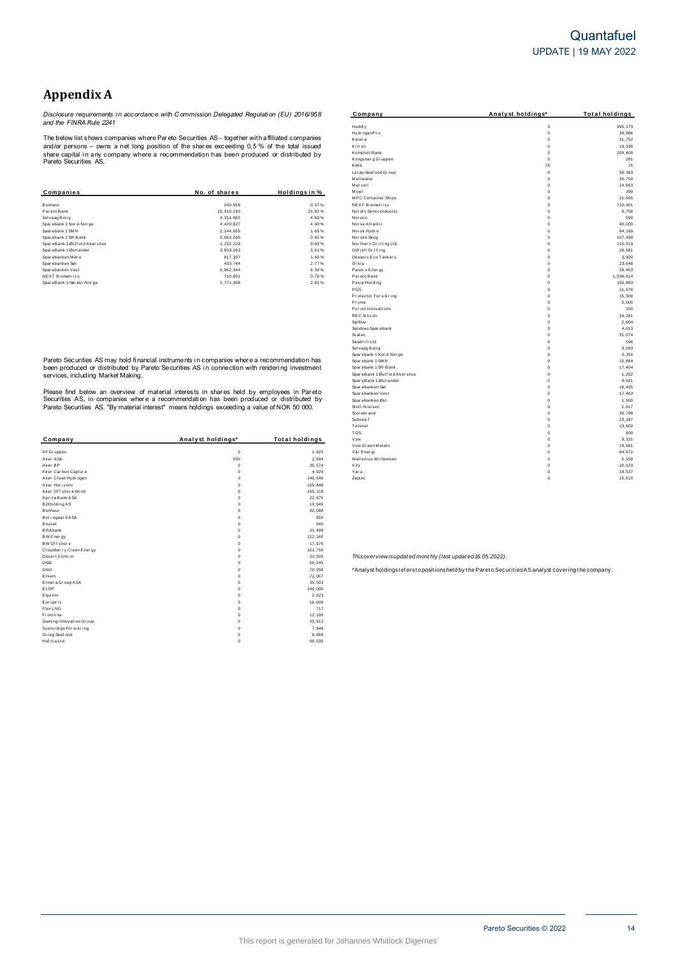# **Quantafuel** UPDATE | 19 MAY 2022

# **Appendix A**

|                               |               |               | Mercell                    |             | 24,863    |
|-------------------------------|---------------|---------------|----------------------------|-------------|-----------|
| Companies                     | No. of shares | Holdinas in % | Mowi                       |             | 399       |
|                               |               |               | <b>MPC Container Ships</b> | $\mathbf 0$ | 21,695    |
| Bonheur                       | 240.958       | 0.57%         | NEXT Biometrics            | $\Omega$    | 710.90    |
| Pareto Bank                   | 15,310,160    | 21.92%        | Nor dic Semiconductor      | 0           | 8.756     |
| Selvaag Bolig                 | 4,314,865     | 4.60%         | Nor eco                    | $\Omega$    | 590       |
| Sparebank 1 Nor d-Nor ge      | 4.420.827     | 4.40%         | Nor se Atlantic            | $\mathbf 0$ | 40,000    |
| Sparebank 1 SMN               | 2,144,655     | 1.65%         | Norsk Hydro                | $\mathbf 0$ | 84.189    |
| Sparebank 1 SR-Bank           | 2,063,265     | 0.81%         | Nor ske Skog               | $\Omega$    | 107,499   |
| SpareBank 1 Østf old Akershus | 1,232,229     | 9.95%         | Nor thern Drilling Ltd.    | 0           | 115,919   |
| SpareBank 1 Østlandet         | 3,833,163     | 3.61%         | Odf jell Drilling          |             | 28,58'    |
| Sparebanken Møre              | 817,307       | 1.65%         | Okeanis Eco Tankers        | $\mathbf 0$ | 3,920     |
| Spar ebanken Sør              | 433,744       | 2.77%         | Orkla                      |             | 23,648    |
| Sparebanken Vest              | 6,862,344     | 6.39%         | Panor o Ener gy            | $\Omega$    | 29,463    |
| NEXT Biometrics               | 710,901       | 0.78%         | Par eto Bank               | $\Omega$    | 1,339,814 |
| SpareBank 1 Sørøst-Norge      | 1,771,308     | 2.81%         | Pexip Holding              | $\mathbf 0$ | 156,883   |
|                               |               |               |                            |             |           |

| Company                 | Analyst holdings* | <b>Total holdings</b> |
|-------------------------|-------------------|-----------------------|
| AF Gr uppen             | $\mathbf 0$       | 1,825                 |
| Aker ASA                | 500               | 2.694                 |
| Aker BP                 | $\Omega$          | 30,574                |
| Aker Carbon Capture     | $\Omega$          | 4,926                 |
| Aker Clean Hydrogen     | $\mathbf 0$       | 140.540               |
| Aker Horizons           | $\mathbf 0$       | 125,848               |
| Aker Of f shore Wind    | $\Omega$          | 165, 118              |
| Aprila Bank ASA         | $\mathbf 0$       | 22,675                |
| B2Holding AS            | $\Omega$          | 10,940                |
| Bonheur                 | $\mathbf 0$       | 32,088                |
| Bor regaar d ASA        | $\mathbf 0$       | 650                   |
| Bouvet                  | $\mathbf 0$       | 940                   |
| <b>BRAbank</b>          | $\mathbf 0$       | 31,499                |
| BW Energy               | $\Omega$          | 112,160               |
| BW Of f shore           | $\Omega$          | 17,976                |
| Cloudberry Clean Energy | $\mathbf 0$       | 101.750               |
| Desert Control          | $\mathbf 0$       | 31,500                |
| <b>DNB</b>              | $\Omega$          | 50.245                |
| <b>DNO</b>              | $\mathbf 0$       | 70,258                |
| Elkem                   | $\mathbf 0$       | 72,067                |
| Elmer a Group ASA       | $\mathbf 0$       | 30,503                |
| ELOP                    | $\mathbf 0$       | 140,000               |
| Equinor                 | $\mathbf 0$       | 2.623                 |
| Europris                | $\mathbf 0$       | 16,608                |
| Flex LNG                | $\Omega$          | 717                   |
| <b>Frontline</b>        | $\Omega$          | 12,190                |
| Gaming Innovation Group | $\mathbf 0$       | 25,912                |
| Gjensidige For sikring  | $\mathbf 0$       | 7,846                 |
| Grieg Seaf ood          | $\Omega$          | 8,889                 |
| Haf nia Ltd.            | $\mathbf 0$       | 90.530                |

|                                    | Disclosure requirements in accordance with Commission Delegated Requlation (EU) 2016/958       |                       | Company                                              | Analyst holdings*          | <b>Total holdings</b> |
|------------------------------------|------------------------------------------------------------------------------------------------|-----------------------|------------------------------------------------------|----------------------------|-----------------------|
| and the FINRA Rule 2241            |                                                                                                |                       | Huddly                                               | $\mathbf 0$                | 995, 173              |
|                                    |                                                                                                |                       | HydrogenPro                                          | $\Omega$                   | 38,966                |
|                                    | The below list shows companies where Pareto Securities AS - together with affiliated companies |                       | Kaler a                                              | $\Omega$                   | 31,752                |
|                                    | and/or persons – owns a net long position of the shares exceeding 0,5 % of the total issued    |                       | Kitron                                               | $\mathbf 0$                | 19,336                |
|                                    | share capital in any company where a recommendation has been produced or distributed by        |                       | Komplett Bank                                        | $\Omega$                   | 209,400               |
| Pareto Securities AS.              |                                                                                                |                       | Kongsberg Gruppen                                    | $\Omega$                   | 281                   |
|                                    |                                                                                                |                       | <b>KWS</b>                                           | 75                         | 75                    |
|                                    |                                                                                                |                       | Ler øy Seaf ood Gr oup                               | $\Omega$                   | 39,363                |
|                                    |                                                                                                |                       | Meltwater                                            | $\Omega$                   | 30,700                |
|                                    |                                                                                                |                       | Mercell                                              | $\Omega$                   | 24,863                |
| Companies                          | No. of shares                                                                                  | Holdings in %         | Mowi                                                 | $\mathbf 0$<br>$\mathbf 0$ | 399                   |
| Bonheur                            | 240,958                                                                                        | 0.57%                 | <b>MPC Container Ships</b><br><b>NEXT Biometrics</b> | $\Omega$                   | 21,695<br>710,901     |
| Pareto Bank                        | 15,310,160                                                                                     | 21.92%                | Nor di c Semi conductor                              | $\Omega$                   | 8,756                 |
| Sel vaag Bolig                     | 4,314,865                                                                                      | 4.60%                 | Nor eco                                              | $\Omega$                   | 590                   |
| Sparebank 1 Nor d-Nor ge           | 4,420,827                                                                                      | 4.40%                 | Nor se Atlantic                                      | $\Omega$                   | 40,000                |
| Sparebank 1 SMN                    | 2,144,655                                                                                      | 1.65%                 | Nor sk Hydr o                                        | $\Omega$                   | 84,189                |
| Sparebank 1 SR-Bank                | 2,063,265                                                                                      | 0.81%                 | Nor ske Skog                                         | $\mathbf 0$                | 107,499               |
| SpareBank 1 Østf old Akershus      | 1,232,229                                                                                      | 9.95%                 | Nor ther n Drilling Ltd.                             | $\mathbf 0$                | 115,919               |
| SpareBank 1 Østlandet              | 3,833,163                                                                                      | 3.61%                 | Odf jell Drilling                                    | $\Omega$                   | 28,581                |
| Sparebanken Møre                   | 817,307                                                                                        | 1.65%                 | Okeanis Eco Tankers                                  | $\Omega$                   | 3,920                 |
| Sparebanken Sør                    | 433,744                                                                                        | 2.77%                 | Orkla                                                | $\Omega$                   | 23,648                |
| Sparebanken Vest                   | 6,862,344                                                                                      | 6.39%                 | Panor o Ener gy                                      | $\mathbf 0$                | 29,463                |
| NEXT Biometrics                    | 710,901                                                                                        | 0.78%                 | Par eto Bank                                         | $\Omega$                   | 1,339,814             |
| SpareBank 1 Sørøst-Norge           | 1,771,308                                                                                      | 2.81%                 | Pexip Holding                                        | $\mathbf 0$                | 156,883               |
|                                    |                                                                                                |                       | PGS                                                  | $\Omega$                   | 11,676                |
|                                    |                                                                                                |                       | Protector Forsikring                                 | $\Omega$                   | 15,300                |
|                                    |                                                                                                |                       | Pryme                                                | $\Omega$                   | 5,000                 |
|                                    |                                                                                                |                       | Pyr um Innovations                                   | $\Omega$                   | 100                   |
|                                    |                                                                                                |                       | <b>RECSilicon</b>                                    | $\mathbf 0$                | 34,281                |
|                                    |                                                                                                |                       | Sal Mar                                              | $\Omega$                   | 2,604                 |
|                                    |                                                                                                |                       | Sandnes Spar ebank                                   | $\mathbf 0$<br>$\Omega$    | 4,013                 |
|                                    |                                                                                                |                       | Scatec<br>Seadr ill Ltd                              | $\Omega$                   | 31,074<br>596         |
|                                    |                                                                                                |                       | Selvaag Bolig                                        | $\Omega$                   | 3,093                 |
|                                    |                                                                                                |                       | Spar ebank 1 Nor d-Nor ge                            | $\Omega$                   | 3,350                 |
|                                    | Pareto Securities AS may hold financial instruments in companies where a recommendation has    |                       | Spar ebank 1 SMN                                     | $\mathbf 0$                | 15,884                |
|                                    | been produced or distributed by Pareto Securities AS in connection with rendering investment   |                       | Spar ebank 1 SR-Bank                                 | $\Omega$                   | 17,404                |
| services, including Market Making. |                                                                                                |                       | SpareBank 1 Østf old Aker shus                       | $\mathbf 0$                | 1.252                 |
|                                    |                                                                                                |                       | SpareBank 1 Østlandet                                | $\Omega$                   | 9,621                 |
|                                    |                                                                                                |                       | Spar ebanken Sør                                     | $\Omega$                   | 16,435                |
|                                    | Please find below an overview of material interests in shares held by employees in Pareto      |                       | Spar ebanken Vest                                    | $\mathbf 0$                | 17,463                |
|                                    | Securities AS, in companies where a recommendation has been produced or distributed by         |                       | Spar ebanken Øst                                     | $\mathbf 0$                | 1,500                 |
|                                    | Pareto Securities AS. "By material interest" means holdings exceeding a value of NOK 50 000.   |                       | Stolt-Nielsen                                        | $\mathbf 0$                | 1,817                 |
|                                    |                                                                                                |                       | Stor ebr and                                         | $\Omega$                   | 39.798                |
|                                    |                                                                                                |                       | Subsea 7                                             | $\Omega$                   | 23, 187               |
|                                    |                                                                                                |                       | Telenor                                              | $\Omega$                   | 13,602                |
|                                    |                                                                                                |                       | <b>TGS</b>                                           | $\Omega$                   | 600                   |
| Company                            | Analyst holdings*                                                                              | <b>Total holdings</b> | Vow                                                  | $\mathbf 0$                | 9,331                 |
|                                    | $\bf{0}$                                                                                       |                       | Vow Green Metals                                     | $\mathbf 0$<br>$\Omega$    | 19,681                |
| AF Gruppen                         |                                                                                                | 1,825                 | Vår Energi                                           | $\Omega$                   | 84,672                |
| Aker ASA<br>Aker BP                | 500<br>$\circ$                                                                                 | 2,694<br>30,574       | Wallenius Wilhemsen<br>XXL                           | $\mathbf 0$                | 5,150<br>20.523       |
| Aker Carbon Capture                | $^{\circ}$                                                                                     | 4,926                 | Yara                                                 | $\mathbf 0$                | 18,537                |
| Aker Clean Hydrogen                | $\circ$                                                                                        | 140,540               | Zaptec                                               | $\Omega$                   | 15,610                |
| Abor Horizone                      | $\Omega$                                                                                       | 125.949               |                                                      |                            |                       |

This over view is updated monthly (last updated 16.05.2022).

\*Analyst holdings referst o positions held by the Paret o Securities AS analyst covering the company.